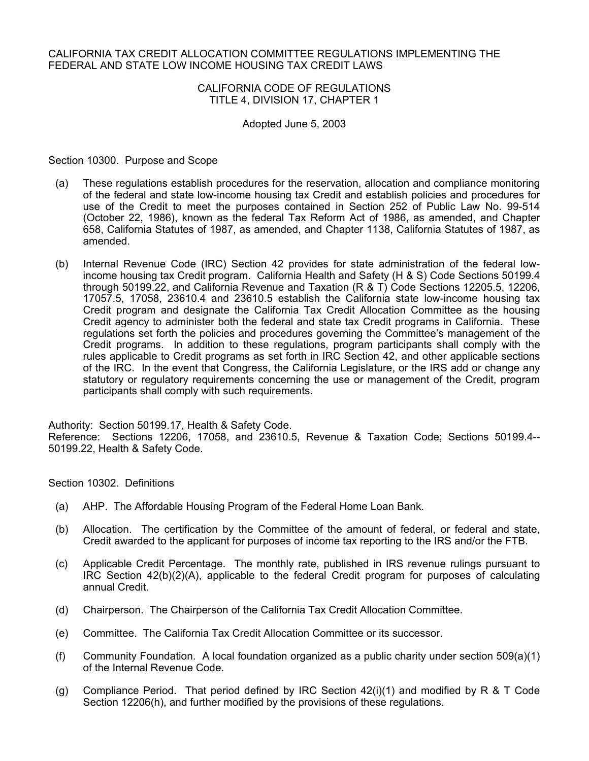#### CALIFORNIA TAX CREDIT ALLOCATION COMMITTEE REGULATIONS IMPLEMENTING THE FEDERAL AND STATE LOW INCOME HOUSING TAX CREDIT LAWS

### CALIFORNIA CODE OF REGULATIONS TITLE 4, DIVISION 17, CHAPTER 1

### Adopted June 5, 2003

Section 10300. Purpose and Scope

- (a) These regulations establish procedures for the reservation, allocation and compliance monitoring of the federal and state low-income housing tax Credit and establish policies and procedures for use of the Credit to meet the purposes contained in Section 252 of Public Law No. 99-514 (October 22, 1986), known as the federal Tax Reform Act of 1986, as amended, and Chapter 658, California Statutes of 1987, as amended, and Chapter 1138, California Statutes of 1987, as amended.
- (b) Internal Revenue Code (IRC) Section 42 provides for state administration of the federal lowincome housing tax Credit program. California Health and Safety (H & S) Code Sections 50199.4 through 50199.22, and California Revenue and Taxation (R & T) Code Sections 12205.5, 12206, 17057.5, 17058, 23610.4 and 23610.5 establish the California state low-income housing tax Credit program and designate the California Tax Credit Allocation Committee as the housing Credit agency to administer both the federal and state tax Credit programs in California. These regulations set forth the policies and procedures governing the Committee's management of the Credit programs. In addition to these regulations, program participants shall comply with the rules applicable to Credit programs as set forth in IRC Section 42, and other applicable sections of the IRC. In the event that Congress, the California Legislature, or the IRS add or change any statutory or regulatory requirements concerning the use or management of the Credit, program participants shall comply with such requirements.

Authority: Section 50199.17, Health & Safety Code. Reference: Sections 12206, 17058, and 23610.5, Revenue & Taxation Code; Sections 50199.4-- 50199.22, Health & Safety Code.

Section 10302. Definitions

- (a) AHP. The Affordable Housing Program of the Federal Home Loan Bank.
- (b) Allocation. The certification by the Committee of the amount of federal, or federal and state, Credit awarded to the applicant for purposes of income tax reporting to the IRS and/or the FTB.
- (c) Applicable Credit Percentage. The monthly rate, published in IRS revenue rulings pursuant to IRC Section 42(b)(2)(A), applicable to the federal Credit program for purposes of calculating annual Credit.
- (d) Chairperson. The Chairperson of the California Tax Credit Allocation Committee.
- (e) Committee. The California Tax Credit Allocation Committee or its successor.
- (f) Community Foundation. A local foundation organized as a public charity under section 509(a)(1) of the Internal Revenue Code.
- (g) Compliance Period. That period defined by IRC Section  $42(i)(1)$  and modified by R & T Code Section 12206(h), and further modified by the provisions of these regulations.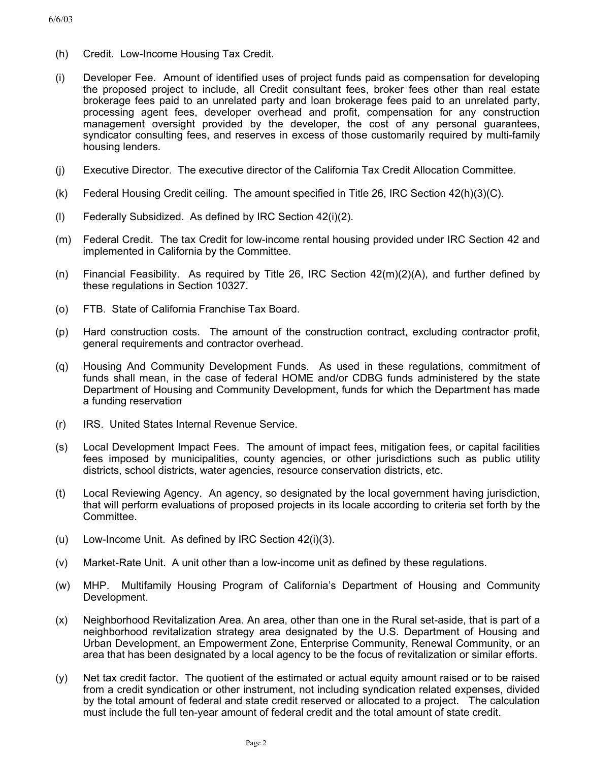- (h) Credit. Low-Income Housing Tax Credit.
- (i) Developer Fee. Amount of identified uses of project funds paid as compensation for developing the proposed project to include, all Credit consultant fees, broker fees other than real estate brokerage fees paid to an unrelated party and loan brokerage fees paid to an unrelated party, processing agent fees, developer overhead and profit, compensation for any construction management oversight provided by the developer, the cost of any personal guarantees, syndicator consulting fees, and reserves in excess of those customarily required by multi-family housing lenders.
- (j) Executive Director. The executive director of the California Tax Credit Allocation Committee.
- (k) Federal Housing Credit ceiling. The amount specified in Title 26, IRC Section 42(h)(3)(C).
- (l) Federally Subsidized. As defined by IRC Section 42(i)(2).
- (m) Federal Credit. The tax Credit for low-income rental housing provided under IRC Section 42 and implemented in California by the Committee.
- (n) Financial Feasibility. As required by Title 26, IRC Section 42(m)(2)(A), and further defined by these regulations in Section 10327.
- (o) FTB. State of California Franchise Tax Board.
- (p) Hard construction costs. The amount of the construction contract, excluding contractor profit, general requirements and contractor overhead.
- (q) Housing And Community Development Funds. As used in these regulations, commitment of funds shall mean, in the case of federal HOME and/or CDBG funds administered by the state Department of Housing and Community Development, funds for which the Department has made a funding reservation
- (r) IRS. United States Internal Revenue Service.
- (s) Local Development Impact Fees. The amount of impact fees, mitigation fees, or capital facilities fees imposed by municipalities, county agencies, or other jurisdictions such as public utility districts, school districts, water agencies, resource conservation districts, etc.
- (t) Local Reviewing Agency. An agency, so designated by the local government having jurisdiction, that will perform evaluations of proposed projects in its locale according to criteria set forth by the Committee.
- (u) Low-Income Unit. As defined by IRC Section 42(i)(3).
- (v) Market-Rate Unit. A unit other than a low-income unit as defined by these regulations.
- (w) MHP. Multifamily Housing Program of California's Department of Housing and Community Development.
- (x) Neighborhood Revitalization Area. An area, other than one in the Rural set-aside, that is part of a neighborhood revitalization strategy area designated by the U.S. Department of Housing and Urban Development, an Empowerment Zone, Enterprise Community, Renewal Community, or an area that has been designated by a local agency to be the focus of revitalization or similar efforts.
- (y) Net tax credit factor. The quotient of the estimated or actual equity amount raised or to be raised from a credit syndication or other instrument, not including syndication related expenses, divided by the total amount of federal and state credit reserved or allocated to a project. The calculation must include the full ten-year amount of federal credit and the total amount of state credit.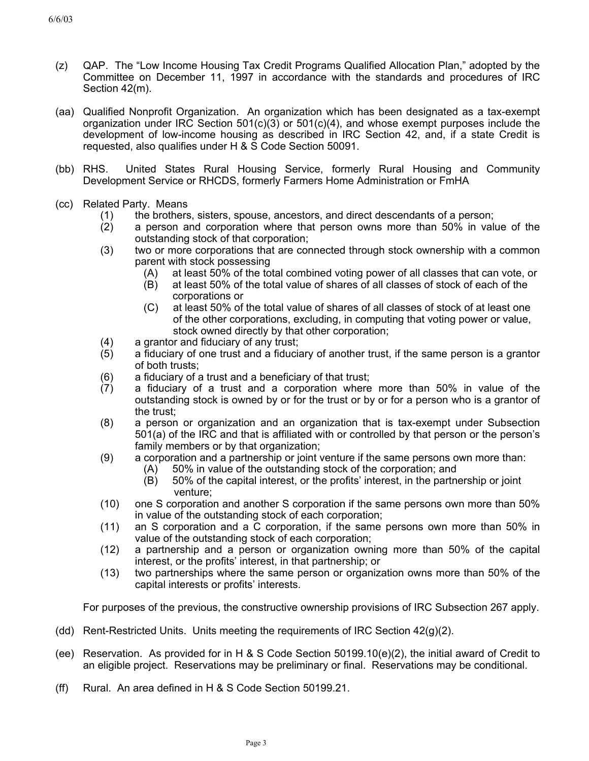- (z) QAP. The "Low Income Housing Tax Credit Programs Qualified Allocation Plan," adopted by the Committee on December 11, 1997 in accordance with the standards and procedures of IRC Section 42(m).
- (aa) Qualified Nonprofit Organization. An organization which has been designated as a tax-exempt organization under IRC Section  $501(c)(3)$  or  $501(c)(4)$ , and whose exempt purposes include the development of low-income housing as described in IRC Section 42, and, if a state Credit is requested, also qualifies under H & S Code Section 50091.
- (bb) RHS. United States Rural Housing Service, formerly Rural Housing and Community Development Service or RHCDS, formerly Farmers Home Administration or FmHA
- (cc) Related Party. Means
	- (1) the brothers, sisters, spouse, ancestors, and direct descendants of a person;
	- (2) a person and corporation where that person owns more than 50% in value of the outstanding stock of that corporation;
	- (3) two or more corporations that are connected through stock ownership with a common parent with stock possessing
		- (A) at least 50% of the total combined voting power of all classes that can vote, or
		- (B) at least 50% of the total value of shares of all classes of stock of each of the corporations or
		- (C) at least 50% of the total value of shares of all classes of stock of at least one of the other corporations, excluding, in computing that voting power or value, stock owned directly by that other corporation;
	- (4) a grantor and fiduciary of any trust;
	- (5) a fiduciary of one trust and a fiduciary of another trust, if the same person is a grantor of both trusts;
	- (6) a fiduciary of a trust and a beneficiary of that trust;
	- (7) a fiduciary of a trust and a corporation where more than 50% in value of the outstanding stock is owned by or for the trust or by or for a person who is a grantor of the trust;
	- (8) a person or organization and an organization that is tax-exempt under Subsection 501(a) of the IRC and that is affiliated with or controlled by that person or the person's family members or by that organization;
	- (9) a corporation and a partnership or joint venture if the same persons own more than:
		- (A) 50% in value of the outstanding stock of the corporation; and
		- (B) 50% of the capital interest, or the profits' interest, in the partnership or joint venture;
	- (10) one S corporation and another S corporation if the same persons own more than 50% in value of the outstanding stock of each corporation;
	- (11) an S corporation and a C corporation, if the same persons own more than 50% in value of the outstanding stock of each corporation;
	- (12) a partnership and a person or organization owning more than 50% of the capital interest, or the profits' interest, in that partnership; or
	- (13) two partnerships where the same person or organization owns more than 50% of the capital interests or profits' interests.

For purposes of the previous, the constructive ownership provisions of IRC Subsection 267 apply.

- (dd) Rent-Restricted Units. Units meeting the requirements of IRC Section  $42(q)(2)$ .
- (ee) Reservation. As provided for in H & S Code Section 50199.10(e)(2), the initial award of Credit to an eligible project. Reservations may be preliminary or final. Reservations may be conditional.
- (ff) Rural. An area defined in H & S Code Section 50199.21.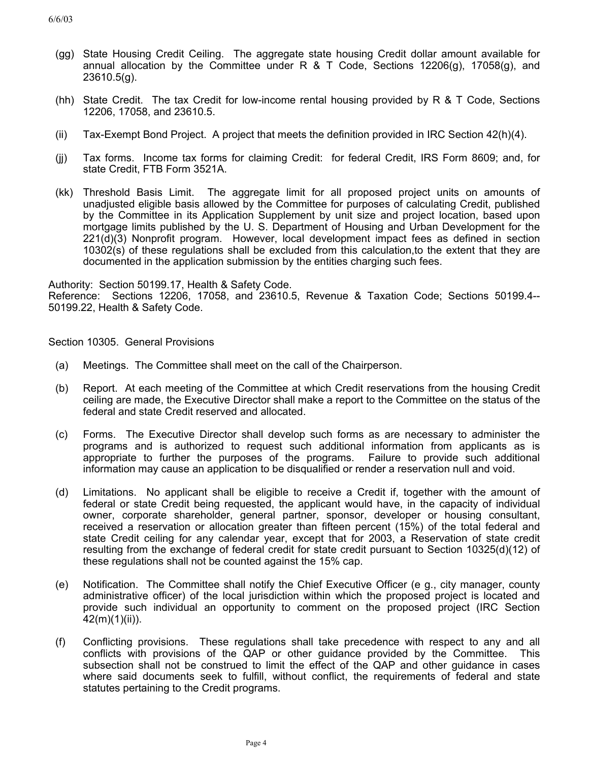- (gg) State Housing Credit Ceiling. The aggregate state housing Credit dollar amount available for annual allocation by the Committee under R & T Code, Sections 12206(g), 17058(g), and 23610.5(g).
- (hh) State Credit. The tax Credit for low-income rental housing provided by R & T Code, Sections 12206, 17058, and 23610.5.
- (ii) Tax-Exempt Bond Project. A project that meets the definition provided in IRC Section 42(h)(4).
- (jj) Tax forms. Income tax forms for claiming Credit: for federal Credit, IRS Form 8609; and, for state Credit, FTB Form 3521A.
- (kk) Threshold Basis Limit. The aggregate limit for all proposed project units on amounts of unadjusted eligible basis allowed by the Committee for purposes of calculating Credit, published by the Committee in its Application Supplement by unit size and project location, based upon mortgage limits published by the U. S. Department of Housing and Urban Development for the 221(d)(3) Nonprofit program. However, local development impact fees as defined in section 10302(s) of these regulations shall be excluded from this calculation,to the extent that they are documented in the application submission by the entities charging such fees.

Authority: Section 50199.17, Health & Safety Code.

Reference: Sections 12206, 17058, and 23610.5, Revenue & Taxation Code; Sections 50199.4-- 50199.22, Health & Safety Code.

Section 10305. General Provisions

- (a) Meetings. The Committee shall meet on the call of the Chairperson.
- (b) Report. At each meeting of the Committee at which Credit reservations from the housing Credit ceiling are made, the Executive Director shall make a report to the Committee on the status of the federal and state Credit reserved and allocated.
- (c) Forms. The Executive Director shall develop such forms as are necessary to administer the programs and is authorized to request such additional information from applicants as is appropriate to further the purposes of the programs. Failure to provide such additional information may cause an application to be disqualified or render a reservation null and void.
- (d) Limitations. No applicant shall be eligible to receive a Credit if, together with the amount of federal or state Credit being requested, the applicant would have, in the capacity of individual owner, corporate shareholder, general partner, sponsor, developer or housing consultant, received a reservation or allocation greater than fifteen percent (15%) of the total federal and state Credit ceiling for any calendar year, except that for 2003, a Reservation of state credit resulting from the exchange of federal credit for state credit pursuant to Section 10325(d)(12) of these regulations shall not be counted against the 15% cap.
- (e) Notification. The Committee shall notify the Chief Executive Officer (e g., city manager, county administrative officer) of the local jurisdiction within which the proposed project is located and provide such individual an opportunity to comment on the proposed project (IRC Section 42(m)(1)(ii)).
- (f) Conflicting provisions. These regulations shall take precedence with respect to any and all conflicts with provisions of the QAP or other guidance provided by the Committee. This subsection shall not be construed to limit the effect of the QAP and other guidance in cases where said documents seek to fulfill, without conflict, the requirements of federal and state statutes pertaining to the Credit programs.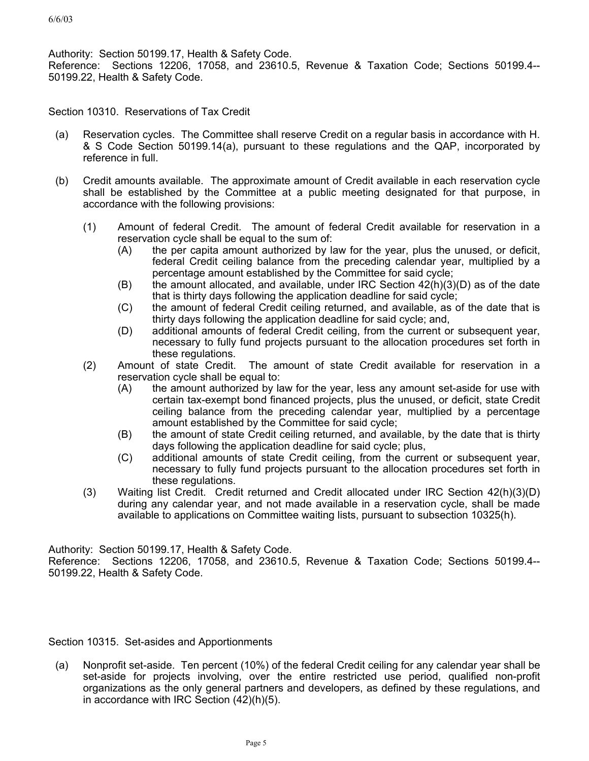Authority: Section 50199.17, Health & Safety Code. Reference: Sections 12206, 17058, and 23610.5, Revenue & Taxation Code; Sections 50199.4-- 50199.22, Health & Safety Code.

Section 10310. Reservations of Tax Credit

- (a) Reservation cycles. The Committee shall reserve Credit on a regular basis in accordance with H. & S Code Section 50199.14(a), pursuant to these regulations and the QAP, incorporated by reference in full.
- (b) Credit amounts available. The approximate amount of Credit available in each reservation cycle shall be established by the Committee at a public meeting designated for that purpose, in accordance with the following provisions:
	- (1) Amount of federal Credit. The amount of federal Credit available for reservation in a reservation cycle shall be equal to the sum of:
		- (A) the per capita amount authorized by law for the year, plus the unused, or deficit, federal Credit ceiling balance from the preceding calendar year, multiplied by a percentage amount established by the Committee for said cycle;
		- $(B)$  the amount allocated, and available, under IRC Section  $42(h)(3)(D)$  as of the date that is thirty days following the application deadline for said cycle;
		- (C) the amount of federal Credit ceiling returned, and available, as of the date that is thirty days following the application deadline for said cycle; and,
		- (D) additional amounts of federal Credit ceiling, from the current or subsequent year, necessary to fully fund projects pursuant to the allocation procedures set forth in these regulations.
	- (2) Amount of state Credit. The amount of state Credit available for reservation in a reservation cycle shall be equal to:
		- (A) the amount authorized by law for the year, less any amount set-aside for use with certain tax-exempt bond financed projects, plus the unused, or deficit, state Credit ceiling balance from the preceding calendar year, multiplied by a percentage amount established by the Committee for said cycle;
		- (B) the amount of state Credit ceiling returned, and available, by the date that is thirty days following the application deadline for said cycle; plus,
		- (C) additional amounts of state Credit ceiling, from the current or subsequent year, necessary to fully fund projects pursuant to the allocation procedures set forth in these regulations.
	- (3) Waiting list Credit. Credit returned and Credit allocated under IRC Section 42(h)(3)(D) during any calendar year, and not made available in a reservation cycle, shall be made available to applications on Committee waiting lists, pursuant to subsection 10325(h).

Authority: Section 50199.17, Health & Safety Code.

Reference: Sections 12206, 17058, and 23610.5, Revenue & Taxation Code; Sections 50199.4-- 50199.22, Health & Safety Code.

Section 10315. Set-asides and Apportionments

(a) Nonprofit set-aside. Ten percent (10%) of the federal Credit ceiling for any calendar year shall be set-aside for projects involving, over the entire restricted use period, qualified non-profit organizations as the only general partners and developers, as defined by these regulations, and in accordance with IRC Section (42)(h)(5).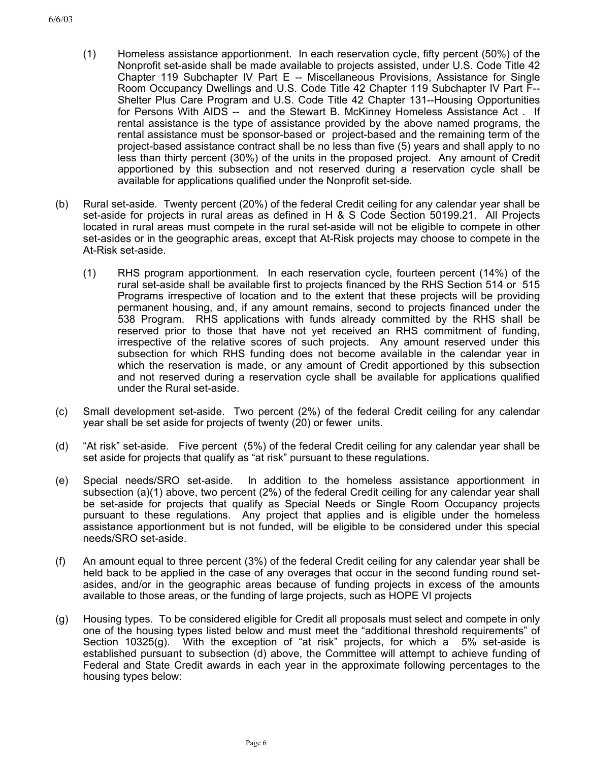- (1) Homeless assistance apportionment. In each reservation cycle, fifty percent (50%) of the Nonprofit set-aside shall be made available to projects assisted, under U.S. Code Title 42 Chapter 119 Subchapter IV Part E -- Miscellaneous Provisions, Assistance for Single Room Occupancy Dwellings and U.S. Code Title 42 Chapter 119 Subchapter IV Part F-- Shelter Plus Care Program and U.S. Code Title 42 Chapter 131--Housing Opportunities for Persons With AIDS -- and the Stewart B. McKinney Homeless Assistance Act . If rental assistance is the type of assistance provided by the above named programs, the rental assistance must be sponsor-based or project-based and the remaining term of the project-based assistance contract shall be no less than five (5) years and shall apply to no less than thirty percent (30%) of the units in the proposed project. Any amount of Credit apportioned by this subsection and not reserved during a reservation cycle shall be available for applications qualified under the Nonprofit set-side.
- (b) Rural set-aside. Twenty percent (20%) of the federal Credit ceiling for any calendar year shall be set-aside for projects in rural areas as defined in H & S Code Section 50199.21. All Projects located in rural areas must compete in the rural set-aside will not be eligible to compete in other set-asides or in the geographic areas, except that At-Risk projects may choose to compete in the At-Risk set-aside.
	- (1) RHS program apportionment. In each reservation cycle, fourteen percent (14%) of the rural set-aside shall be available first to projects financed by the RHS Section 514 or 515 Programs irrespective of location and to the extent that these projects will be providing permanent housing, and, if any amount remains, second to projects financed under the 538 Program. RHS applications with funds already committed by the RHS shall be reserved prior to those that have not yet received an RHS commitment of funding, irrespective of the relative scores of such projects. Any amount reserved under this subsection for which RHS funding does not become available in the calendar year in which the reservation is made, or any amount of Credit apportioned by this subsection and not reserved during a reservation cycle shall be available for applications qualified under the Rural set-aside.
- (c) Small development set-aside. Two percent (2%) of the federal Credit ceiling for any calendar year shall be set aside for projects of twenty (20) or fewer units.
- (d) "At risk" set-aside. Five percent (5%) of the federal Credit ceiling for any calendar year shall be set aside for projects that qualify as "at risk" pursuant to these regulations.
- (e) Special needs/SRO set-aside. In addition to the homeless assistance apportionment in subsection (a)(1) above, two percent (2%) of the federal Credit ceiling for any calendar year shall be set-aside for projects that qualify as Special Needs or Single Room Occupancy projects pursuant to these regulations. Any project that applies and is eligible under the homeless assistance apportionment but is not funded, will be eligible to be considered under this special needs/SRO set-aside.
- (f) An amount equal to three percent (3%) of the federal Credit ceiling for any calendar year shall be held back to be applied in the case of any overages that occur in the second funding round setasides, and/or in the geographic areas because of funding projects in excess of the amounts available to those areas, or the funding of large projects, such as HOPE VI projects
- (g) Housing types. To be considered eligible for Credit all proposals must select and compete in only one of the housing types listed below and must meet the "additional threshold requirements" of Section 10325(g). With the exception of "at risk" projects, for which a 5% set-aside is established pursuant to subsection (d) above, the Committee will attempt to achieve funding of Federal and State Credit awards in each year in the approximate following percentages to the housing types below: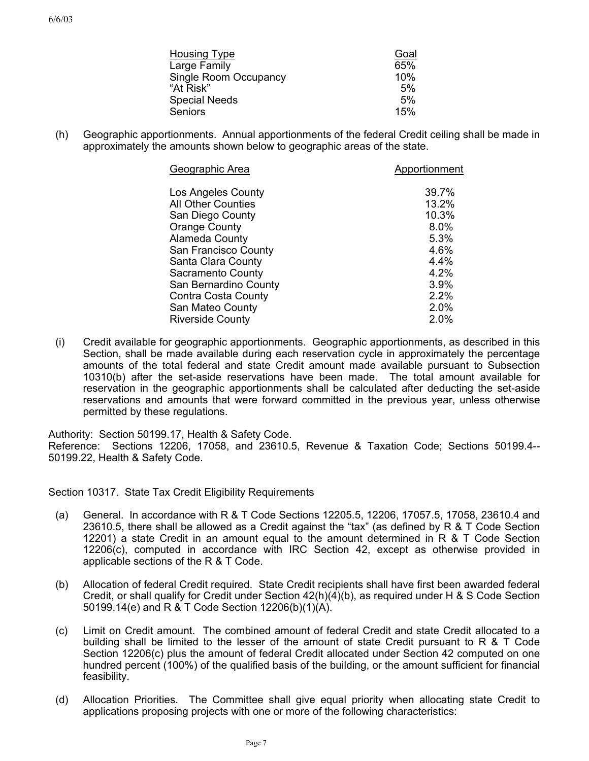| <b>Housing Type</b>   | Goal |
|-----------------------|------|
| Large Family          | 65%  |
| Single Room Occupancy | 10%  |
| "At Risk"             | 5%   |
| <b>Special Needs</b>  | 5%   |
| Seniors               | 15%  |

(h) Geographic apportionments. Annual apportionments of the federal Credit ceiling shall be made in approximately the amounts shown below to geographic areas of the state.

| Geographic Area           | Apportionment |
|---------------------------|---------------|
| Los Angeles County        | 39.7%         |
| <b>All Other Counties</b> | 13.2%         |
| San Diego County          | 10.3%         |
| Orange County             | $8.0\%$       |
| Alameda County            | 5.3%          |
| San Francisco County      | 4.6%          |
| Santa Clara County        | 4.4%          |
| Sacramento County         | 4.2%          |
| San Bernardino County     | 3.9%          |
| Contra Costa County       | 2.2%          |
| San Mateo County          | 2.0%          |
| <b>Riverside County</b>   | 2.0%          |

(i) Credit available for geographic apportionments. Geographic apportionments, as described in this Section, shall be made available during each reservation cycle in approximately the percentage amounts of the total federal and state Credit amount made available pursuant to Subsection 10310(b) after the set-aside reservations have been made. The total amount available for reservation in the geographic apportionments shall be calculated after deducting the set-aside reservations and amounts that were forward committed in the previous year, unless otherwise permitted by these regulations.

Authority: Section 50199.17, Health & Safety Code. Reference: Sections 12206, 17058, and 23610.5, Revenue & Taxation Code; Sections 50199.4-- 50199.22, Health & Safety Code.

Section 10317. State Tax Credit Eligibility Requirements

- (a) General. In accordance with R & T Code Sections 12205.5, 12206, 17057.5, 17058, 23610.4 and 23610.5, there shall be allowed as a Credit against the "tax" (as defined by R & T Code Section 12201) a state Credit in an amount equal to the amount determined in R & T Code Section 12206(c), computed in accordance with IRC Section 42, except as otherwise provided in applicable sections of the R & T Code.
- (b) Allocation of federal Credit required. State Credit recipients shall have first been awarded federal Credit, or shall qualify for Credit under Section 42(h)(4)(b), as required under H & S Code Section 50199.14(e) and R & T Code Section 12206(b)(1)(A).
- (c) Limit on Credit amount. The combined amount of federal Credit and state Credit allocated to a building shall be limited to the lesser of the amount of state Credit pursuant to R & T Code Section 12206(c) plus the amount of federal Credit allocated under Section 42 computed on one hundred percent (100%) of the qualified basis of the building, or the amount sufficient for financial feasibility.
- (d) Allocation Priorities. The Committee shall give equal priority when allocating state Credit to applications proposing projects with one or more of the following characteristics: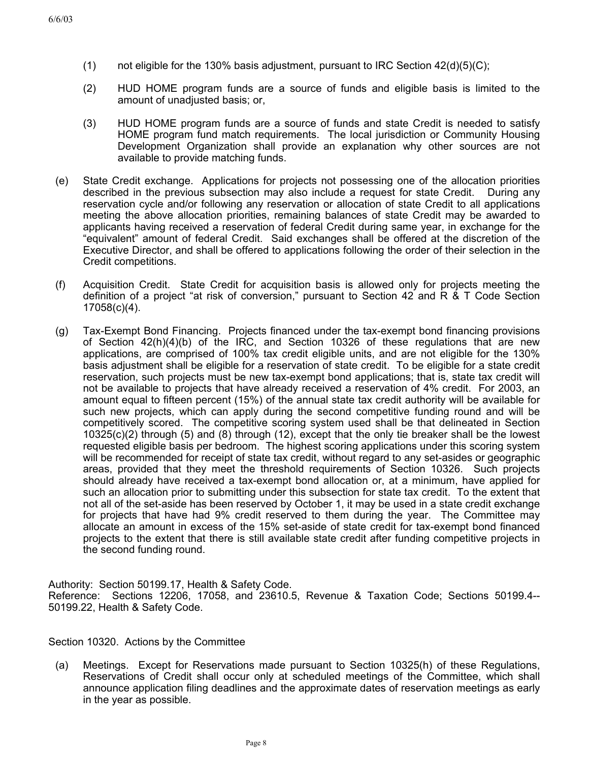- (1) not eligible for the 130% basis adjustment, pursuant to IRC Section  $42(d)(5)(C)$ ;
- (2) HUD HOME program funds are a source of funds and eligible basis is limited to the amount of unadjusted basis; or,
- (3) HUD HOME program funds are a source of funds and state Credit is needed to satisfy HOME program fund match requirements. The local jurisdiction or Community Housing Development Organization shall provide an explanation why other sources are not available to provide matching funds.
- (e) State Credit exchange. Applications for projects not possessing one of the allocation priorities described in the previous subsection may also include a request for state Credit. During any reservation cycle and/or following any reservation or allocation of state Credit to all applications meeting the above allocation priorities, remaining balances of state Credit may be awarded to applicants having received a reservation of federal Credit during same year, in exchange for the "equivalent" amount of federal Credit. Said exchanges shall be offered at the discretion of the Executive Director, and shall be offered to applications following the order of their selection in the Credit competitions.
- (f) Acquisition Credit. State Credit for acquisition basis is allowed only for projects meeting the definition of a project "at risk of conversion," pursuant to Section 42 and R & T Code Section 17058(c)(4).
- (g) Tax-Exempt Bond Financing. Projects financed under the tax-exempt bond financing provisions of Section 42(h)(4)(b) of the IRC, and Section 10326 of these regulations that are new applications, are comprised of 100% tax credit eligible units, and are not eligible for the 130% basis adjustment shall be eligible for a reservation of state credit. To be eligible for a state credit reservation, such projects must be new tax-exempt bond applications; that is, state tax credit will not be available to projects that have already received a reservation of 4% credit. For 2003, an amount equal to fifteen percent (15%) of the annual state tax credit authority will be available for such new projects, which can apply during the second competitive funding round and will be competitively scored. The competitive scoring system used shall be that delineated in Section 10325(c)(2) through (5) and (8) through (12), except that the only tie breaker shall be the lowest requested eligible basis per bedroom. The highest scoring applications under this scoring system will be recommended for receipt of state tax credit, without regard to any set-asides or geographic areas, provided that they meet the threshold requirements of Section 10326. Such projects should already have received a tax-exempt bond allocation or, at a minimum, have applied for such an allocation prior to submitting under this subsection for state tax credit. To the extent that not all of the set-aside has been reserved by October 1, it may be used in a state credit exchange for projects that have had 9% credit reserved to them during the year. The Committee may allocate an amount in excess of the 15% set-aside of state credit for tax-exempt bond financed projects to the extent that there is still available state credit after funding competitive projects in the second funding round.

Authority: Section 50199.17, Health & Safety Code. Reference: Sections 12206, 17058, and 23610.5, Revenue & Taxation Code; Sections 50199.4-- 50199.22, Health & Safety Code.

Section 10320. Actions by the Committee

(a) Meetings. Except for Reservations made pursuant to Section 10325(h) of these Regulations, Reservations of Credit shall occur only at scheduled meetings of the Committee, which shall announce application filing deadlines and the approximate dates of reservation meetings as early in the year as possible.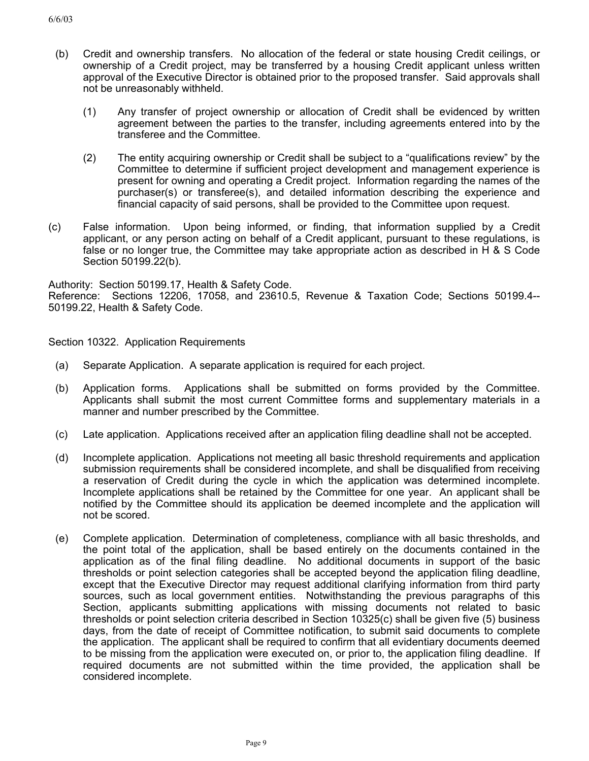- (b) Credit and ownership transfers. No allocation of the federal or state housing Credit ceilings, or ownership of a Credit project, may be transferred by a housing Credit applicant unless written approval of the Executive Director is obtained prior to the proposed transfer. Said approvals shall not be unreasonably withheld.
	- (1) Any transfer of project ownership or allocation of Credit shall be evidenced by written agreement between the parties to the transfer, including agreements entered into by the transferee and the Committee.
	- (2) The entity acquiring ownership or Credit shall be subject to a "qualifications review" by the Committee to determine if sufficient project development and management experience is present for owning and operating a Credit project. Information regarding the names of the purchaser(s) or transferee(s), and detailed information describing the experience and financial capacity of said persons, shall be provided to the Committee upon request.
- (c) False information. Upon being informed, or finding, that information supplied by a Credit applicant, or any person acting on behalf of a Credit applicant, pursuant to these regulations, is false or no longer true, the Committee may take appropriate action as described in H & S Code Section 50199.22(b).

Authority: Section 50199.17, Health & Safety Code.

Reference: Sections 12206, 17058, and 23610.5, Revenue & Taxation Code; Sections 50199.4-- 50199.22, Health & Safety Code.

Section 10322. Application Requirements

- (a) Separate Application. A separate application is required for each project.
- (b) Application forms. Applications shall be submitted on forms provided by the Committee. Applicants shall submit the most current Committee forms and supplementary materials in a manner and number prescribed by the Committee.
- (c) Late application. Applications received after an application filing deadline shall not be accepted.
- (d) Incomplete application. Applications not meeting all basic threshold requirements and application submission requirements shall be considered incomplete, and shall be disqualified from receiving a reservation of Credit during the cycle in which the application was determined incomplete. Incomplete applications shall be retained by the Committee for one year. An applicant shall be notified by the Committee should its application be deemed incomplete and the application will not be scored.
- (e) Complete application. Determination of completeness, compliance with all basic thresholds, and the point total of the application, shall be based entirely on the documents contained in the application as of the final filing deadline. No additional documents in support of the basic thresholds or point selection categories shall be accepted beyond the application filing deadline, except that the Executive Director may request additional clarifying information from third party sources, such as local government entities. Notwithstanding the previous paragraphs of this Section, applicants submitting applications with missing documents not related to basic thresholds or point selection criteria described in Section 10325(c) shall be given five (5) business days, from the date of receipt of Committee notification, to submit said documents to complete the application. The applicant shall be required to confirm that all evidentiary documents deemed to be missing from the application were executed on, or prior to, the application filing deadline. If required documents are not submitted within the time provided, the application shall be considered incomplete.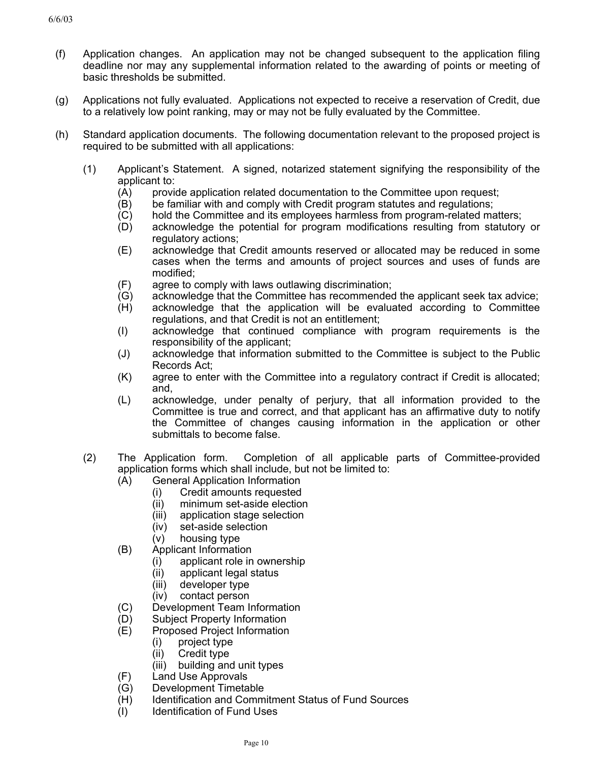- (f) Application changes. An application may not be changed subsequent to the application filing deadline nor may any supplemental information related to the awarding of points or meeting of basic thresholds be submitted.
- (g) Applications not fully evaluated. Applications not expected to receive a reservation of Credit, due to a relatively low point ranking, may or may not be fully evaluated by the Committee.
- (h) Standard application documents. The following documentation relevant to the proposed project is required to be submitted with all applications:
	- (1) Applicant's Statement. A signed, notarized statement signifying the responsibility of the applicant to:
		- (A) provide application related documentation to the Committee upon request;
		- (B) be familiar with and comply with Credit program statutes and regulations;
		- (C) hold the Committee and its employees harmless from program-related matters;
		- (D) acknowledge the potential for program modifications resulting from statutory or regulatory actions;
		- (E) acknowledge that Credit amounts reserved or allocated may be reduced in some cases when the terms and amounts of project sources and uses of funds are modified;
		- (F) agree to comply with laws outlawing discrimination;
		- (G) acknowledge that the Committee has recommended the applicant seek tax advice; (H) acknowledge that the application will be evaluated according to Committee
		- regulations, and that Credit is not an entitlement;
		- (I) acknowledge that continued compliance with program requirements is the responsibility of the applicant;
		- (J) acknowledge that information submitted to the Committee is subject to the Public Records Act;
		- (K) agree to enter with the Committee into a regulatory contract if Credit is allocated; and,
		- (L) acknowledge, under penalty of perjury, that all information provided to the Committee is true and correct, and that applicant has an affirmative duty to notify the Committee of changes causing information in the application or other submittals to become false.
	- (2) The Application form. Completion of all applicable parts of Committee-provided application forms which shall include, but not be limited to:
		- (A) General Application Information
			- (i) Credit amounts requested
			- (ii) minimum set-aside election
			- (iii) application stage selection
			- (iv) set-aside selection
			- (v) housing type
		- (B) Applicant Information
			- (i) applicant role in ownership
			- (ii) applicant legal status
			- (iii) developer type
			- (iv) contact person
		- (C) Development Team Information
		- (D) Subject Property Information
		- (E) Proposed Project Information
			- (i) project type
			- (ii) Credit type
			- (iii) building and unit types
		- (F) Land Use Approvals
		- (G) Development Timetable
		- (H) Identification and Commitment Status of Fund Sources
		- (I) Identification of Fund Uses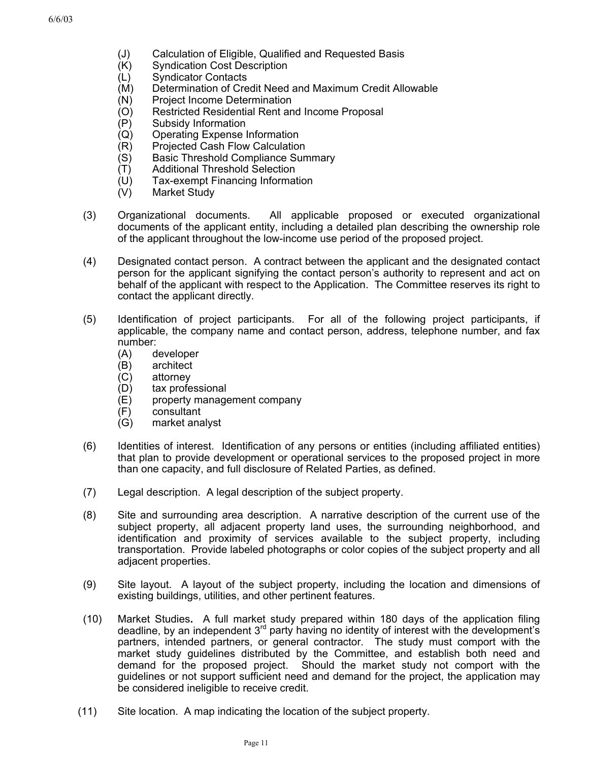- (J) Calculation of Eligible, Qualified and Requested Basis<br>(K) Syndication Cost Description
- **Syndication Cost Description**
- (L) Syndicator Contacts
- (M) Determination of Credit Need and Maximum Credit Allowable
- (N) Project Income Determination
- (O) Restricted Residential Rent and Income Proposal
- (P) Subsidy Information
- (Q) Operating Expense Information
- (R) Projected Cash Flow Calculation
- (S) Basic Threshold Compliance Summary
- (T) Additional Threshold Selection
- (U) Tax-exempt Financing Information
- (V) Market Study
- (3) Organizational documents. All applicable proposed or executed organizational documents of the applicant entity, including a detailed plan describing the ownership role of the applicant throughout the low-income use period of the proposed project.
- (4) Designated contact person. A contract between the applicant and the designated contact person for the applicant signifying the contact person's authority to represent and act on behalf of the applicant with respect to the Application. The Committee reserves its right to contact the applicant directly.
- (5) Identification of project participants. For all of the following project participants, if applicable, the company name and contact person, address, telephone number, and fax number:
	- (A) developer
	- (B) architect
	- (C) attorney
	- (D) tax professional
	- (E) property management company
	- (F) consultant
	- (G) market analyst
- (6) Identities of interest. Identification of any persons or entities (including affiliated entities) that plan to provide development or operational services to the proposed project in more than one capacity, and full disclosure of Related Parties, as defined.
- (7) Legal description. A legal description of the subject property.
- (8) Site and surrounding area description. A narrative description of the current use of the subject property, all adjacent property land uses, the surrounding neighborhood, and identification and proximity of services available to the subject property, including transportation. Provide labeled photographs or color copies of the subject property and all adjacent properties.
- (9) Site layout. A layout of the subject property, including the location and dimensions of existing buildings, utilities, and other pertinent features.
- (10) Market Studies**.** A full market study prepared within 180 days of the application filing deadline, by an independent  $3<sup>rd</sup>$  party having no identity of interest with the development's partners, intended partners, or general contractor. The study must comport with the market study guidelines distributed by the Committee, and establish both need and demand for the proposed project. Should the market study not comport with the guidelines or not support sufficient need and demand for the project, the application may be considered ineligible to receive credit.
- (11) Site location. A map indicating the location of the subject property.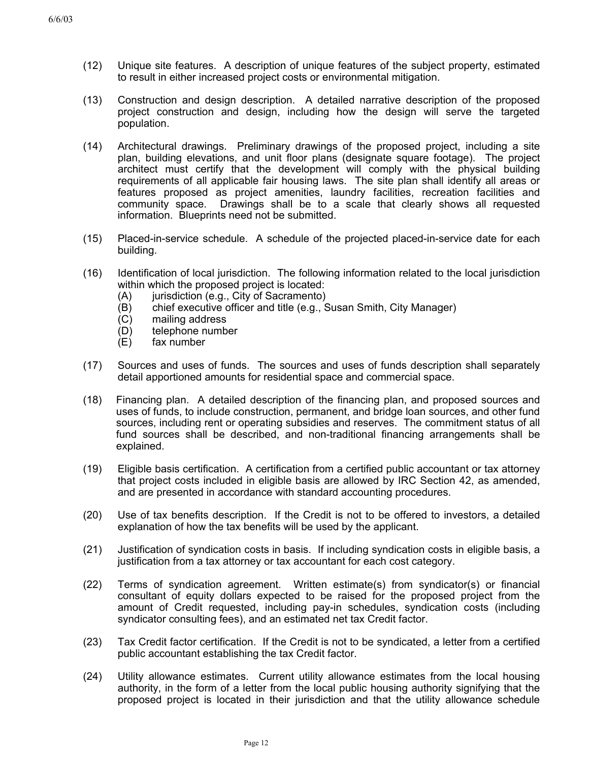- (12) Unique site features. A description of unique features of the subject property, estimated to result in either increased project costs or environmental mitigation.
- (13) Construction and design description. A detailed narrative description of the proposed project construction and design, including how the design will serve the targeted population.
- (14) Architectural drawings. Preliminary drawings of the proposed project, including a site plan, building elevations, and unit floor plans (designate square footage). The project architect must certify that the development will comply with the physical building requirements of all applicable fair housing laws. The site plan shall identify all areas or features proposed as project amenities, laundry facilities, recreation facilities and community space. Drawings shall be to a scale that clearly shows all requested information. Blueprints need not be submitted.
- (15) Placed-in-service schedule. A schedule of the projected placed-in-service date for each building.
- (16) Identification of local jurisdiction. The following information related to the local jurisdiction within which the proposed project is located:
	- (A) jurisdiction (e.g., City of Sacramento)
	- (B) chief executive officer and title (e.g., Susan Smith, City Manager)
	- (C) mailing address
	- (D) telephone number
	- (E) fax number
- (17) Sources and uses of funds. The sources and uses of funds description shall separately detail apportioned amounts for residential space and commercial space.
- (18) Financing plan. A detailed description of the financing plan, and proposed sources and uses of funds, to include construction, permanent, and bridge loan sources, and other fund sources, including rent or operating subsidies and reserves. The commitment status of all fund sources shall be described, and non-traditional financing arrangements shall be explained.
- (19) Eligible basis certification. A certification from a certified public accountant or tax attorney that project costs included in eligible basis are allowed by IRC Section 42, as amended, and are presented in accordance with standard accounting procedures.
- (20) Use of tax benefits description. If the Credit is not to be offered to investors, a detailed explanation of how the tax benefits will be used by the applicant.
- (21) Justification of syndication costs in basis. If including syndication costs in eligible basis, a justification from a tax attorney or tax accountant for each cost category.
- (22) Terms of syndication agreement. Written estimate(s) from syndicator(s) or financial consultant of equity dollars expected to be raised for the proposed project from the amount of Credit requested, including pay-in schedules, syndication costs (including syndicator consulting fees), and an estimated net tax Credit factor.
- (23) Tax Credit factor certification. If the Credit is not to be syndicated, a letter from a certified public accountant establishing the tax Credit factor.
- (24) Utility allowance estimates. Current utility allowance estimates from the local housing authority, in the form of a letter from the local public housing authority signifying that the proposed project is located in their jurisdiction and that the utility allowance schedule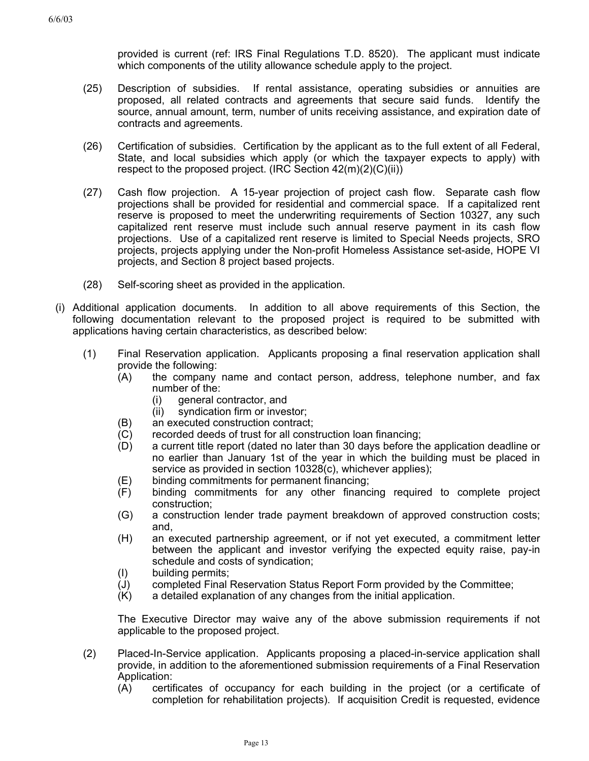provided is current (ref: IRS Final Regulations T.D. 8520). The applicant must indicate which components of the utility allowance schedule apply to the project.

- (25) Description of subsidies. If rental assistance, operating subsidies or annuities are proposed, all related contracts and agreements that secure said funds. Identify the source, annual amount, term, number of units receiving assistance, and expiration date of contracts and agreements.
- (26) Certification of subsidies. Certification by the applicant as to the full extent of all Federal, State, and local subsidies which apply (or which the taxpayer expects to apply) with respect to the proposed project. (IRC Section 42(m)(2)(C)(ii))
- (27) Cash flow projection. A 15-year projection of project cash flow. Separate cash flow projections shall be provided for residential and commercial space. If a capitalized rent reserve is proposed to meet the underwriting requirements of Section 10327, any such capitalized rent reserve must include such annual reserve payment in its cash flow projections. Use of a capitalized rent reserve is limited to Special Needs projects, SRO projects, projects applying under the Non-profit Homeless Assistance set-aside, HOPE VI projects, and Section 8 project based projects.
- (28) Self-scoring sheet as provided in the application.
- (i) Additional application documents. In addition to all above requirements of this Section, the following documentation relevant to the proposed project is required to be submitted with applications having certain characteristics, as described below:
	- (1) Final Reservation application. Applicants proposing a final reservation application shall provide the following:
		- (A) the company name and contact person, address, telephone number, and fax number of the:
			- (i) general contractor, and
			- (ii) syndication firm or investor;
		- (B) an executed construction contract;
		- (C) recorded deeds of trust for all construction loan financing;
		- (D) a current title report (dated no later than 30 days before the application deadline or no earlier than January 1st of the year in which the building must be placed in service as provided in section 10328(c), whichever applies);
		- (E) binding commitments for permanent financing;
		- (F) binding commitments for any other financing required to complete project construction;
		- (G) a construction lender trade payment breakdown of approved construction costs; and,
		- (H) an executed partnership agreement, or if not yet executed, a commitment letter between the applicant and investor verifying the expected equity raise, pay-in schedule and costs of syndication;
		- (I) building permits;
		- (J) completed Final Reservation Status Report Form provided by the Committee;
		- (K) a detailed explanation of any changes from the initial application.

The Executive Director may waive any of the above submission requirements if not applicable to the proposed project.

- (2) Placed-In-Service application. Applicants proposing a placed-in-service application shall provide, in addition to the aforementioned submission requirements of a Final Reservation Application:
	- (A) certificates of occupancy for each building in the project (or a certificate of completion for rehabilitation projects). If acquisition Credit is requested, evidence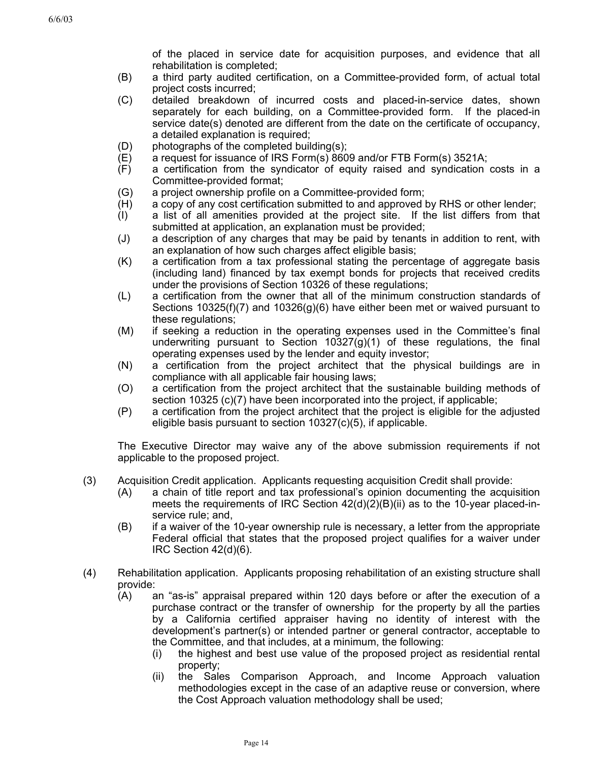of the placed in service date for acquisition purposes, and evidence that all rehabilitation is completed;

- (B) a third party audited certification, on a Committee-provided form, of actual total project costs incurred;
- (C) detailed breakdown of incurred costs and placed-in-service dates, shown separately for each building, on a Committee-provided form. If the placed-in service date(s) denoted are different from the date on the certificate of occupancy, a detailed explanation is required;
- (D) photographs of the completed building(s);
- (E) a request for issuance of IRS Form(s) 8609 and/or FTB Form(s) 3521A;
- (F) a certification from the syndicator of equity raised and syndication costs in a Committee-provided format;
- (G) a project ownership profile on a Committee-provided form;
- (H) a copy of any cost certification submitted to and approved by RHS or other lender;
- (I) a list of all amenities provided at the project site. If the list differs from that submitted at application, an explanation must be provided;
- (J) a description of any charges that may be paid by tenants in addition to rent, with an explanation of how such charges affect eligible basis;
- (K) a certification from a tax professional stating the percentage of aggregate basis (including land) financed by tax exempt bonds for projects that received credits under the provisions of Section 10326 of these regulations;
- (L) a certification from the owner that all of the minimum construction standards of Sections 10325(f)(7) and 10326(g)(6) have either been met or waived pursuant to these regulations;
- (M) if seeking a reduction in the operating expenses used in the Committee's final underwriting pursuant to Section  $10327(g)(1)$  of these regulations, the final operating expenses used by the lender and equity investor;
- (N) a certification from the project architect that the physical buildings are in compliance with all applicable fair housing laws;
- (O) a certification from the project architect that the sustainable building methods of section 10325 (c)(7) have been incorporated into the project, if applicable;
- (P) a certification from the project architect that the project is eligible for the adjusted eligible basis pursuant to section 10327(c)(5), if applicable.

The Executive Director may waive any of the above submission requirements if not applicable to the proposed project.

- (3) Acquisition Credit application. Applicants requesting acquisition Credit shall provide:
	- (A) a chain of title report and tax professional's opinion documenting the acquisition meets the requirements of IRC Section  $42(d)(2)(B)(ii)$  as to the 10-year placed-inservice rule; and,
	- (B) if a waiver of the 10-year ownership rule is necessary, a letter from the appropriate Federal official that states that the proposed project qualifies for a waiver under IRC Section 42(d)(6).
- (4) Rehabilitation application. Applicants proposing rehabilitation of an existing structure shall provide:
	- (A) an "as-is" appraisal prepared within 120 days before or after the execution of a purchase contract or the transfer of ownership for the property by all the parties by a California certified appraiser having no identity of interest with the development's partner(s) or intended partner or general contractor, acceptable to the Committee, and that includes, at a minimum, the following:
		- (i) the highest and best use value of the proposed project as residential rental property;
		- (ii) the Sales Comparison Approach, and Income Approach valuation methodologies except in the case of an adaptive reuse or conversion, where the Cost Approach valuation methodology shall be used;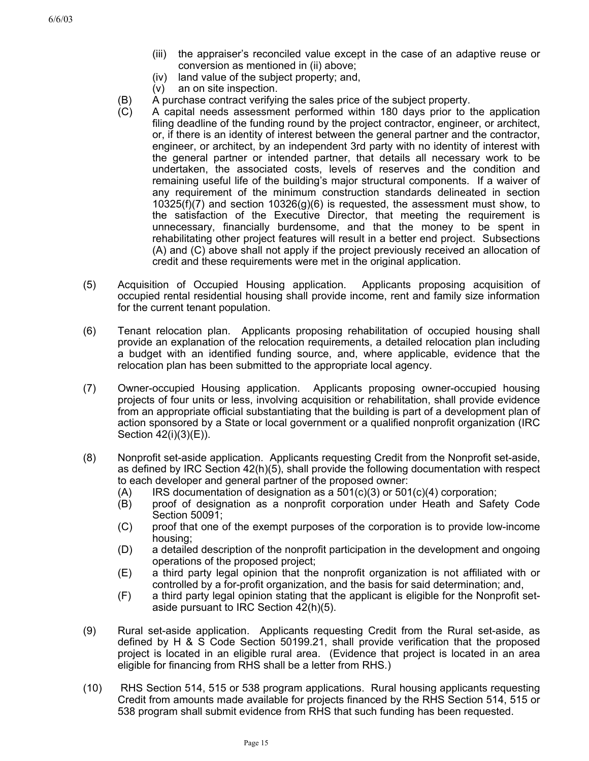- (iii) the appraiser's reconciled value except in the case of an adaptive reuse or conversion as mentioned in (ii) above;
- (iv) land value of the subject property; and,
- (v) an on site inspection.
- (B) A purchase contract verifying the sales price of the subject property.
- (C) A capital needs assessment performed within 180 days prior to the application filing deadline of the funding round by the project contractor, engineer, or architect, or, if there is an identity of interest between the general partner and the contractor, engineer, or architect, by an independent 3rd party with no identity of interest with the general partner or intended partner, that details all necessary work to be undertaken, the associated costs, levels of reserves and the condition and remaining useful life of the building's major structural components. If a waiver of any requirement of the minimum construction standards delineated in section  $10325(f)(7)$  and section  $10326(g)(6)$  is requested, the assessment must show, to the satisfaction of the Executive Director, that meeting the requirement is unnecessary, financially burdensome, and that the money to be spent in rehabilitating other project features will result in a better end project. Subsections (A) and (C) above shall not apply if the project previously received an allocation of credit and these requirements were met in the original application.
- (5) Acquisition of Occupied Housing application. Applicants proposing acquisition of occupied rental residential housing shall provide income, rent and family size information for the current tenant population.
- (6) Tenant relocation plan. Applicants proposing rehabilitation of occupied housing shall provide an explanation of the relocation requirements, a detailed relocation plan including a budget with an identified funding source, and, where applicable, evidence that the relocation plan has been submitted to the appropriate local agency.
- (7) Owner-occupied Housing application. Applicants proposing owner-occupied housing projects of four units or less, involving acquisition or rehabilitation, shall provide evidence from an appropriate official substantiating that the building is part of a development plan of action sponsored by a State or local government or a qualified nonprofit organization (IRC Section 42(i)(3)(E)).
- (8) Nonprofit set-aside application. Applicants requesting Credit from the Nonprofit set-aside, as defined by IRC Section 42(h)(5), shall provide the following documentation with respect to each developer and general partner of the proposed owner:
	- $(A)$  IRS documentation of designation as a 501(c)(3) or 501(c)(4) corporation;
	- (B) proof of designation as a nonprofit corporation under Heath and Safety Code Section 50091;
	- (C) proof that one of the exempt purposes of the corporation is to provide low-income housing;
	- (D) a detailed description of the nonprofit participation in the development and ongoing operations of the proposed project;
	- (E) a third party legal opinion that the nonprofit organization is not affiliated with or controlled by a for-profit organization, and the basis for said determination; and,
	- (F) a third party legal opinion stating that the applicant is eligible for the Nonprofit setaside pursuant to IRC Section 42(h)(5).
- (9) Rural set-aside application. Applicants requesting Credit from the Rural set-aside, as defined by H & S Code Section 50199.21, shall provide verification that the proposed project is located in an eligible rural area. (Evidence that project is located in an area eligible for financing from RHS shall be a letter from RHS.)
- (10) RHS Section 514, 515 or 538 program applications. Rural housing applicants requesting Credit from amounts made available for projects financed by the RHS Section 514, 515 or 538 program shall submit evidence from RHS that such funding has been requested.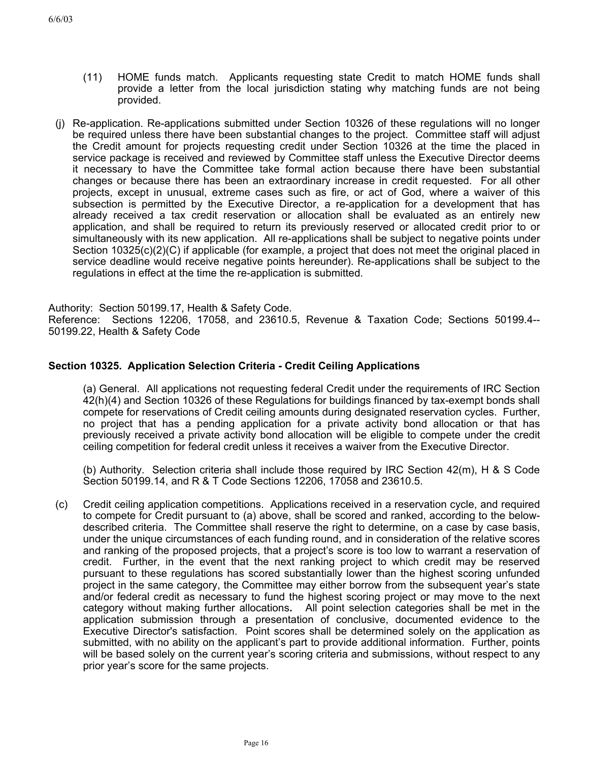- (11) HOME funds match. Applicants requesting state Credit to match HOME funds shall provide a letter from the local jurisdiction stating why matching funds are not being provided.
- (j) Re-application. Re-applications submitted under Section 10326 of these regulations will no longer be required unless there have been substantial changes to the project. Committee staff will adjust the Credit amount for projects requesting credit under Section 10326 at the time the placed in service package is received and reviewed by Committee staff unless the Executive Director deems it necessary to have the Committee take formal action because there have been substantial changes or because there has been an extraordinary increase in credit requested. For all other projects, except in unusual, extreme cases such as fire, or act of God, where a waiver of this subsection is permitted by the Executive Director, a re-application for a development that has already received a tax credit reservation or allocation shall be evaluated as an entirely new application, and shall be required to return its previously reserved or allocated credit prior to or simultaneously with its new application. All re-applications shall be subject to negative points under Section 10325(c)(2)(C) if applicable (for example, a project that does not meet the original placed in service deadline would receive negative points hereunder). Re-applications shall be subject to the regulations in effect at the time the re-application is submitted.

Authority: Section 50199.17, Health & Safety Code.

Reference: Sections 12206, 17058, and 23610.5, Revenue & Taxation Code; Sections 50199.4-- 50199.22, Health & Safety Code

# **Section 10325. Application Selection Criteria - Credit Ceiling Applications**

(a) General. All applications not requesting federal Credit under the requirements of IRC Section 42(h)(4) and Section 10326 of these Regulations for buildings financed by tax-exempt bonds shall compete for reservations of Credit ceiling amounts during designated reservation cycles. Further, no project that has a pending application for a private activity bond allocation or that has previously received a private activity bond allocation will be eligible to compete under the credit ceiling competition for federal credit unless it receives a waiver from the Executive Director.

(b) Authority. Selection criteria shall include those required by IRC Section 42(m), H & S Code Section 50199.14, and R & T Code Sections 12206, 17058 and 23610.5.

(c) Credit ceiling application competitions. Applications received in a reservation cycle, and required to compete for Credit pursuant to (a) above, shall be scored and ranked, according to the belowdescribed criteria. The Committee shall reserve the right to determine, on a case by case basis, under the unique circumstances of each funding round, and in consideration of the relative scores and ranking of the proposed projects, that a project's score is too low to warrant a reservation of credit. Further, in the event that the next ranking project to which credit may be reserved pursuant to these regulations has scored substantially lower than the highest scoring unfunded project in the same category, the Committee may either borrow from the subsequent year's state and/or federal credit as necessary to fund the highest scoring project or may move to the next category without making further allocations**.** All point selection categories shall be met in the application submission through a presentation of conclusive, documented evidence to the Executive Director's satisfaction. Point scores shall be determined solely on the application as submitted, with no ability on the applicant's part to provide additional information. Further, points will be based solely on the current year's scoring criteria and submissions, without respect to any prior year's score for the same projects.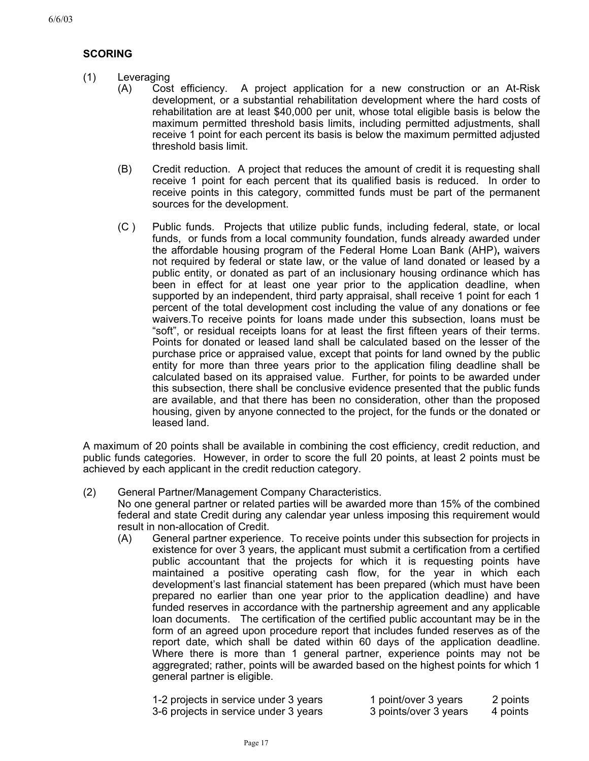# **SCORING**

- (1) Leveraging
	- (A) Cost efficiency. A project application for a new construction or an At-Risk development, or a substantial rehabilitation development where the hard costs of rehabilitation are at least \$40,000 per unit, whose total eligible basis is below the maximum permitted threshold basis limits, including permitted adjustments, shall receive 1 point for each percent its basis is below the maximum permitted adjusted threshold basis limit.
		- (B) Credit reduction. A project that reduces the amount of credit it is requesting shall receive 1 point for each percent that its qualified basis is reduced. In order to receive points in this category, committed funds must be part of the permanent sources for the development.
		- (C ) Public funds. Projects that utilize public funds, including federal, state, or local funds, or funds from a local community foundation, funds already awarded under the affordable housing program of the Federal Home Loan Bank (AHP)**,** waivers not required by federal or state law, or the value of land donated or leased by a public entity, or donated as part of an inclusionary housing ordinance which has been in effect for at least one year prior to the application deadline, when supported by an independent, third party appraisal, shall receive 1 point for each 1 percent of the total development cost including the value of any donations or fee waivers.To receive points for loans made under this subsection, loans must be "soft", or residual receipts loans for at least the first fifteen years of their terms. Points for donated or leased land shall be calculated based on the lesser of the purchase price or appraised value, except that points for land owned by the public entity for more than three years prior to the application filing deadline shall be calculated based on its appraised value. Further, for points to be awarded under this subsection, there shall be conclusive evidence presented that the public funds are available, and that there has been no consideration, other than the proposed housing, given by anyone connected to the project, for the funds or the donated or leased land.

A maximum of 20 points shall be available in combining the cost efficiency, credit reduction, and public funds categories. However, in order to score the full 20 points, at least 2 points must be achieved by each applicant in the credit reduction category.

(2) General Partner/Management Company Characteristics.

No one general partner or related parties will be awarded more than 15% of the combined federal and state Credit during any calendar year unless imposing this requirement would result in non-allocation of Credit.

(A) General partner experience. To receive points under this subsection for projects in existence for over 3 years, the applicant must submit a certification from a certified public accountant that the projects for which it is requesting points have maintained a positive operating cash flow, for the year in which each development's last financial statement has been prepared (which must have been prepared no earlier than one year prior to the application deadline) and have funded reserves in accordance with the partnership agreement and any applicable loan documents. The certification of the certified public accountant may be in the form of an agreed upon procedure report that includes funded reserves as of the report date, which shall be dated within 60 days of the application deadline. Where there is more than 1 general partner, experience points may not be aggregrated; rather, points will be awarded based on the highest points for which 1 general partner is eligible.

| 1-2 projects in service under 3 years | 1 point/over 3 years  | 2 points |
|---------------------------------------|-----------------------|----------|
| 3-6 projects in service under 3 years | 3 points/over 3 years | 4 points |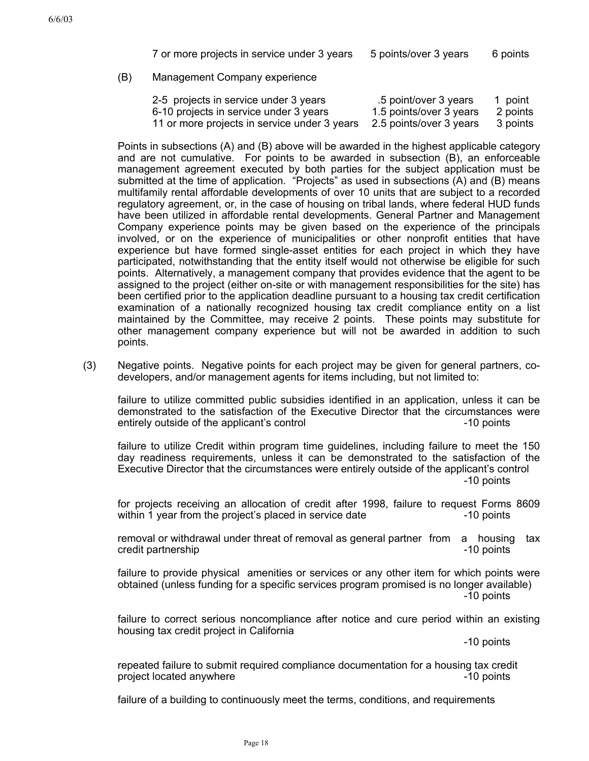| 7 or more projects in service under 3 years | 5 points/over 3 years | 6 points |
|---------------------------------------------|-----------------------|----------|
|---------------------------------------------|-----------------------|----------|

(B) Management Company experience

| 2-5 projects in service under 3 years        | .5 point/over 3 years   | 1 point  |
|----------------------------------------------|-------------------------|----------|
| 6-10 projects in service under 3 years       | 1.5 points/over 3 years | 2 points |
| 11 or more projects in service under 3 years | 2.5 points/over 3 years | 3 points |

Points in subsections (A) and (B) above will be awarded in the highest applicable category and are not cumulative. For points to be awarded in subsection (B), an enforceable management agreement executed by both parties for the subject application must be submitted at the time of application. "Projects" as used in subsections (A) and (B) means multifamily rental affordable developments of over 10 units that are subject to a recorded regulatory agreement, or, in the case of housing on tribal lands, where federal HUD funds have been utilized in affordable rental developments. General Partner and Management Company experience points may be given based on the experience of the principals involved, or on the experience of municipalities or other nonprofit entities that have experience but have formed single-asset entities for each project in which they have participated, notwithstanding that the entity itself would not otherwise be eligible for such points. Alternatively, a management company that provides evidence that the agent to be assigned to the project (either on-site or with management responsibilities for the site) has been certified prior to the application deadline pursuant to a housing tax credit certification examination of a nationally recognized housing tax credit compliance entity on a list maintained by the Committee, may receive 2 points. These points may substitute for other management company experience but will not be awarded in addition to such points.

(3) Negative points. Negative points for each project may be given for general partners, codevelopers, and/or management agents for items including, but not limited to:

failure to utilize committed public subsidies identified in an application, unless it can be demonstrated to the satisfaction of the Executive Director that the circumstances were entirely outside of the applicant's control entirely outside of the applicant's control

 failure to utilize Credit within program time guidelines, including failure to meet the 150 day readiness requirements, unless it can be demonstrated to the satisfaction of the Executive Director that the circumstances were entirely outside of the applicant's control -10 points

 for projects receiving an allocation of credit after 1998, failure to request Forms 8609 within 1 year from the project's placed in service date  $\sim$  10 points

removal or withdrawal under threat of removal as general partner from a housing tax credit partnership  $\sim$  10 points

 failure to provide physical amenities or services or any other item for which points were obtained (unless funding for a specific services program promised is no longer available) -10 points

failure to correct serious noncompliance after notice and cure period within an existing housing tax credit project in California

-10 points

 repeated failure to submit required compliance documentation for a housing tax credit project located anywhere  $\sim$  10 points  $\sim$  10 points

failure of a building to continuously meet the terms, conditions, and requirements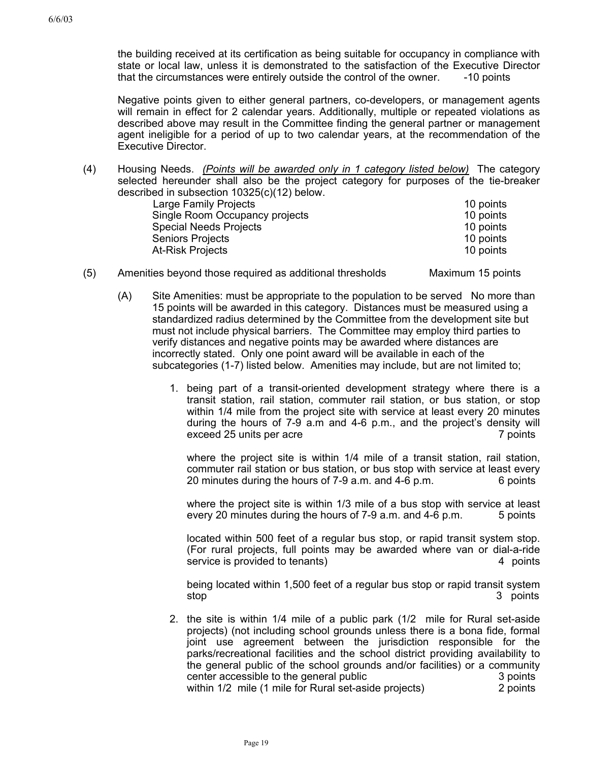the building received at its certification as being suitable for occupancy in compliance with state or local law, unless it is demonstrated to the satisfaction of the Executive Director that the circumstances were entirely outside the control of the owner. -10 points

Negative points given to either general partners, co-developers, or management agents will remain in effect for 2 calendar years. Additionally, multiple or repeated violations as described above may result in the Committee finding the general partner or management agent ineligible for a period of up to two calendar years, at the recommendation of the Executive Director.

(4) Housing Needs. *(Points will be awarded only in 1 category listed below)* The category selected hereunder shall also be the project category for purposes of the tie-breaker described in subsection 10325(c)(12) below.

| Large Family Projects          | 10 points |
|--------------------------------|-----------|
| Single Room Occupancy projects | 10 points |
| <b>Special Needs Projects</b>  | 10 points |
| <b>Seniors Projects</b>        | 10 points |
| At-Risk Projects               | 10 points |
|                                |           |

- (5) Amenities beyond those required as additional thresholds Maximum 15 points
	- (A) Site Amenities: must be appropriate to the population to be served No more than 15 points will be awarded in this category. Distances must be measured using a standardized radius determined by the Committee from the development site but must not include physical barriers. The Committee may employ third parties to verify distances and negative points may be awarded where distances are incorrectly stated. Only one point award will be available in each of the subcategories (1-7) listed below.Amenities may include, but are not limited to;
		- 1. being part of a transit-oriented development strategy where there is a transit station, rail station, commuter rail station, or bus station, or stop within 1/4 mile from the project site with service at least every 20 minutes during the hours of 7-9 a.m and 4-6 p.m., and the project's density will exceed 25 units per acre 7 points

where the project site is within 1/4 mile of a transit station, rail station, commuter rail station or bus station, or bus stop with service at least every 20 minutes during the hours of 7-9 a.m. and 4-6 p.m. 6 points

where the project site is within 1/3 mile of a bus stop with service at least every 20 minutes during the hours of 7-9 a.m. and 4-6 p.m. 5 points

located within 500 feet of a regular bus stop, or rapid transit system stop. (For rural projects, full points may be awarded where van or dial-a-ride service is provided to tenants) and the service is provided to tenants and the service is not the service of  $4$  points

being located within 1,500 feet of a regular bus stop or rapid transit system stop 3 points

2. the site is within 1/4 mile of a public park (1/2 mile for Rural set-aside projects) (not including school grounds unless there is a bona fide, formal joint use agreement between the jurisdiction responsible for the parks/recreational facilities and the school district providing availability to the general public of the school grounds and/or facilities) or a community center accessible to the general public 3 points 3 points within 1/2 mile (1 mile for Rural set-aside projects) 2 points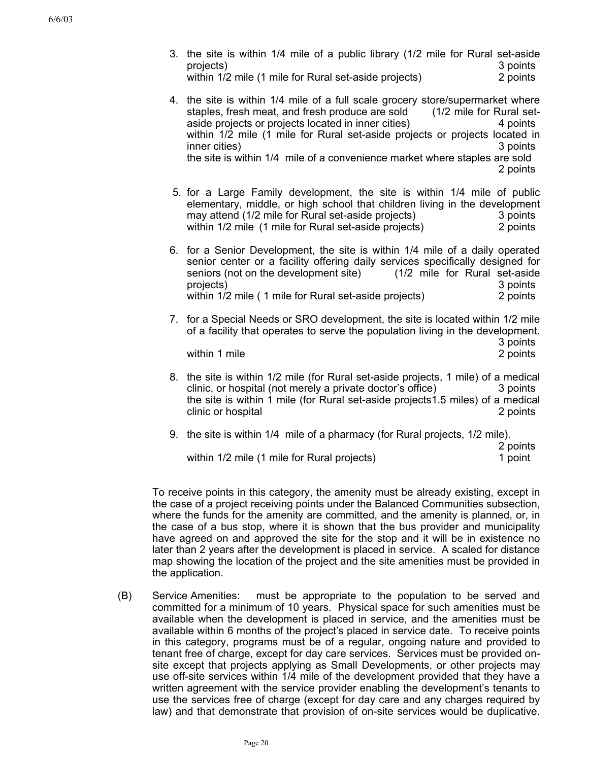3. the site is within 1/4 mile of a public library (1/2 mile for Rural set-aside projects) 3 points

within 1/2 mile (1 mile for Rural set-aside projects) 2 points

- 4. the site is within 1/4 mile of a full scale grocery store/supermarket where staples, fresh meat, and fresh produce are sold (1/2 mile for Rural setaside projects or projects located in inner cities) 4 points within 1/2 mile (1 mile for Rural set-aside projects or projects located in inner cities) 3 points the site is within 1/4 mile of a convenience market where staples are sold 2 points
	- 5. for a Large Family development, the site is within 1/4 mile of public elementary, middle, or high school that children living in the development may attend (1/2 mile for Rural set-aside projects)3 points within 1/2 mile (1 mile for Rural set-aside projects) 2 points
	- 6. for a Senior Development, the site is within 1/4 mile of a daily operated senior center or a facility offering daily services specifically designed for seniors (not on the development site) (1/2 mile for Rural set-aside projects) 3 points within 1/2 mile (1 mile for Rural set-aside projects) 2 points
	- 7. for a Special Needs or SRO development, the site is located within 1/2 mile of a facility that operates to serve the population living in the development. 3 points within 1 mile 2 points
	- 8. the site is within 1/2 mile (for Rural set-aside projects, 1 mile) of a medical clinic, or hospital (not merely a private doctor's office) 3 points the site is within 1 mile (for Rural set-aside projects1.5 miles) of a medical clinic or hospital 2 points 2 points
	- 9. the site is within 1/4 mile of a pharmacy (for Rural projects, 1/2 mile).

2 points

within 1/2 mile (1 mile for Rural projects) 1 point

To receive points in this category, the amenity must be already existing, except in the case of a project receiving points under the Balanced Communities subsection, where the funds for the amenity are committed, and the amenity is planned, or, in the case of a bus stop, where it is shown that the bus provider and municipality have agreed on and approved the site for the stop and it will be in existence no later than 2 years after the development is placed in service. A scaled for distance map showing the location of the project and the site amenities must be provided in the application.

(B) Service Amenities: must be appropriate to the population to be served and committed for a minimum of 10 years. Physical space for such amenities must be available when the development is placed in service, and the amenities must be available within 6 months of the project's placed in service date. To receive points in this category, programs must be of a regular, ongoing nature and provided to tenant free of charge, except for day care services. Services must be provided onsite except that projects applying as Small Developments, or other projects may use off-site services within 1/4 mile of the development provided that they have a written agreement with the service provider enabling the development's tenants to use the services free of charge (except for day care and any charges required by law) and that demonstrate that provision of on-site services would be duplicative.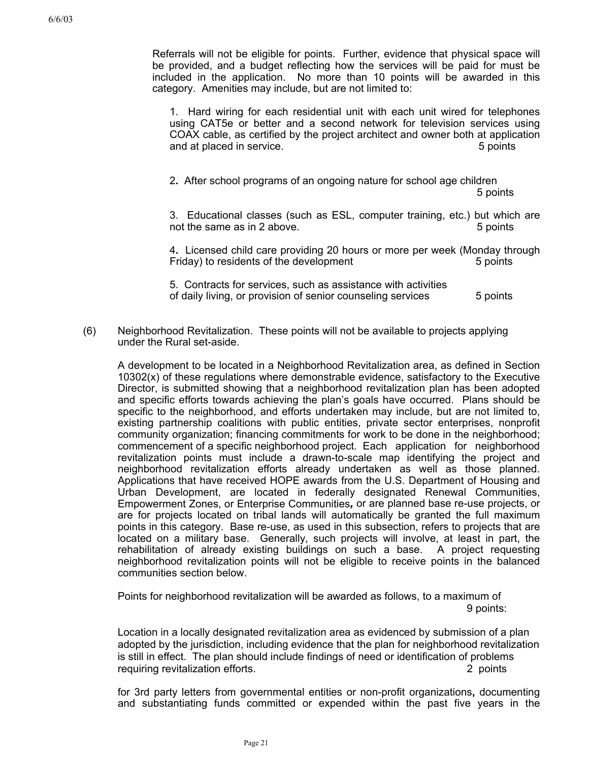Referrals will not be eligible for points. Further, evidence that physical space will be provided, and a budget reflecting how the services will be paid for must be included in the application. No more than 10 points will be awarded in this category. Amenities may include, but are not limited to:

1. Hard wiring for each residential unit with each unit wired for telephones using CAT5e or better and a second network for television services using COAX cable, as certified by the project architect and owner both at application and at placed in service. The service of the service of the service of the service of the service of the service of the service of the service of the service of the service of the service of the service of the service of t

2**.** After school programs of an ongoing nature for school age children 5 points

3. Educational classes (such as ESL, computer training, etc.) but which are not the same as in 2 above. 5 points

4**.** Licensed child care providing 20 hours or more per week (Monday through Friday) to residents of the development 5 points

5. Contracts for services, such as assistance with activities of daily living, or provision of senior counseling services 5 points

(6) Neighborhood Revitalization. These points will not be available to projects applying under the Rural set-aside.

A development to be located in a Neighborhood Revitalization area, as defined in Section 10302(x) of these regulations where demonstrable evidence, satisfactory to the Executive Director, is submitted showing that a neighborhood revitalization plan has been adopted and specific efforts towards achieving the plan's goals have occurred. Plans should be specific to the neighborhood, and efforts undertaken may include, but are not limited to, existing partnership coalitions with public entities, private sector enterprises, nonprofit community organization; financing commitments for work to be done in the neighborhood; commencement of a specific neighborhood project. Each application for neighborhood revitalization points must include a drawn-to-scale map identifying the project and neighborhood revitalization efforts already undertaken as well as those planned. Applications that have received HOPE awards from the U.S. Department of Housing and Urban Development, are located in federally designated Renewal Communities, Empowerment Zones, or Enterprise Communities*,* or are planned base re-use projects, or are for projects located on tribal lands will automatically be granted the full maximum points in this category. Base re-use, as used in this subsection, refers to projects that are located on a military base. Generally, such projects will involve, at least in part, the rehabilitation of already existing buildings on such a base. A project requesting neighborhood revitalization points will not be eligible to receive points in the balanced communities section below.

Points for neighborhood revitalization will be awarded as follows, to a maximum of 9 points:

Location in a locally designated revitalization area as evidenced by submission of a plan adopted by the jurisdiction, including evidence that the plan for neighborhood revitalization is still in effect. The plan should include findings of need or identification of problems requiring revitalization efforts. 2 points

for 3rd party letters from governmental entities or non-profit organizations**,** documenting and substantiating funds committed or expended within the past five years in the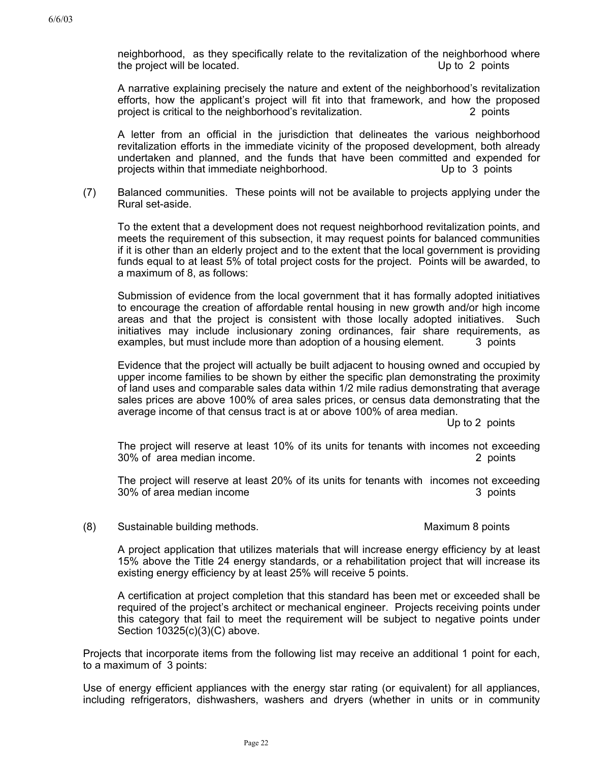neighborhood, as they specifically relate to the revitalization of the neighborhood where the project will be located. Up to 2 points

A narrative explaining precisely the nature and extent of the neighborhood's revitalization efforts, how the applicant's project will fit into that framework, and how the proposed project is critical to the neighborhood's revitalization. 2 points

A letter from an official in the jurisdiction that delineates the various neighborhood revitalization efforts in the immediate vicinity of the proposed development, both already undertaken and planned, and the funds that have been committed and expended for projects within that immediate neighborhood. Up to 3 points

(7) Balanced communities. These points will not be available to projects applying under the Rural set-aside.

To the extent that a development does not request neighborhood revitalization points, and meets the requirement of this subsection, it may request points for balanced communities if it is other than an elderly project and to the extent that the local government is providing funds equal to at least 5% of total project costs for the project. Points will be awarded, to a maximum of 8, as follows:

Submission of evidence from the local government that it has formally adopted initiatives to encourage the creation of affordable rental housing in new growth and/or high income areas and that the project is consistent with those locally adopted initiatives. Such initiatives may include inclusionary zoning ordinances, fair share requirements, as examples, but must include more than adoption of a housing element. 3 points

Evidence that the project will actually be built adjacent to housing owned and occupied by upper income families to be shown by either the specific plan demonstrating the proximity of land uses and comparable sales data within 1/2 mile radius demonstrating that average sales prices are above 100% of area sales prices, or census data demonstrating that the average income of that census tract is at or above 100% of area median.

Up to 2 points

The project will reserve at least 10% of its units for tenants with incomes not exceeding 30% of area median income. 2 points

The project will reserve at least 20% of its units for tenants with incomes not exceeding 30% of area median income 3 points 3 points

(8) Sustainable building methods.Maximum 8 points

A project application that utilizes materials that will increase energy efficiency by at least 15% above the Title 24 energy standards, or a rehabilitation project that will increase its existing energy efficiency by at least 25% will receive 5 points.

A certification at project completion that this standard has been met or exceeded shall be required of the project's architect or mechanical engineer. Projects receiving points under this category that fail to meet the requirement will be subject to negative points under Section 10325(c)(3)(C) above.

Projects that incorporate items from the following list may receive an additional 1 point for each, to a maximum of 3 points:

Use of energy efficient appliances with the energy star rating (or equivalent) for all appliances, including refrigerators, dishwashers, washers and dryers (whether in units or in community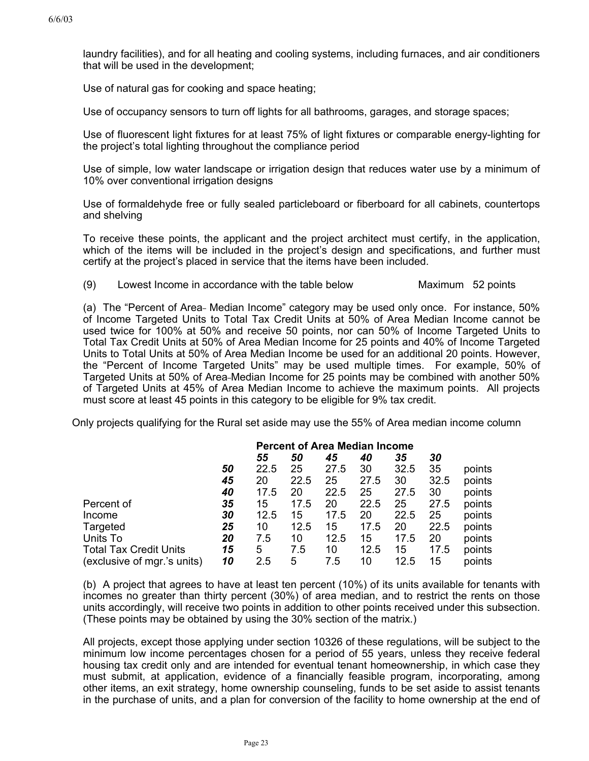laundry facilities), and for all heating and cooling systems, including furnaces, and air conditioners that will be used in the development;

Use of natural gas for cooking and space heating;

Use of occupancy sensors to turn off lights for all bathrooms, garages, and storage spaces;

Use of fluorescent light fixtures for at least 75% of light fixtures or comparable energy-lighting for the project's total lighting throughout the compliance period

Use of simple, low water landscape or irrigation design that reduces water use by a minimum of 10% over conventional irrigation designs

Use of formaldehyde free or fully sealed particleboard or fiberboard for all cabinets, countertops and shelving

To receive these points, the applicant and the project architect must certify, in the application, which of the items will be included in the project's design and specifications, and further must certify at the project's placed in service that the items have been included.

(9) Lowest Income in accordance with the table below Maximum 52 points

(a) The "Percent of Area- Median Income" category may be used only once. For instance, 50% of Income Targeted Units to Total Tax Credit Units at 50% of Area Median Income cannot be used twice for 100% at 50% and receive 50 points, nor can 50% of Income Targeted Units to Total Tax Credit Units at 50% of Area Median Income for 25 points and 40% of Income Targeted Units to Total Units at 50% of Area Median Income be used for an additional 20 points. However, the "Percent of Income Targeted Units" may be used multiple times. For example, 50% of Targeted Units at 50% of Area Median Income for 25 points may be combined with another 50% of Targeted Units at 45% of Area Median Income to achieve the maximum points. All projects must score at least 45 points in this category to be eligible for 9% tax credit.

Only projects qualifying for the Rural set aside may use the 55% of Area median income column

|                               |    | <b>Percent of Area Median Income</b> |      |      |      |      |      |        |
|-------------------------------|----|--------------------------------------|------|------|------|------|------|--------|
|                               |    | 55                                   | 50   | 45   | 40   | 35   | 30   |        |
|                               | 50 | 22.5                                 | 25   | 27.5 | 30   | 32.5 | 35   | points |
|                               | 45 | 20                                   | 22.5 | 25   | 27.5 | 30   | 32.5 | points |
|                               | 40 | 17.5                                 | 20   | 22.5 | 25   | 27.5 | 30   | points |
| Percent of                    | 35 | 15                                   | 17.5 | 20   | 22.5 | 25   | 27.5 | points |
| Income                        | 30 | 12.5                                 | 15   | 17.5 | 20   | 22.5 | 25   | points |
| Targeted                      | 25 | 10                                   | 12.5 | 15   | 17.5 | 20   | 22.5 | points |
| Units To                      | 20 | 7.5                                  | 10   | 12.5 | 15   | 17.5 | 20   | points |
| <b>Total Tax Credit Units</b> | 15 | 5                                    | 7.5  | 10   | 12.5 | 15   | 17.5 | points |
| (exclusive of mgr.'s units)   | 10 | 2.5                                  | 5    | 7.5  | 10   | 12.5 | 15   | points |

(b) A project that agrees to have at least ten percent (10%) of its units available for tenants with incomes no greater than thirty percent (30%) of area median, and to restrict the rents on those units accordingly, will receive two points in addition to other points received under this subsection. (These points may be obtained by using the 30% section of the matrix.)

All projects, except those applying under section 10326 of these regulations, will be subject to the minimum low income percentages chosen for a period of 55 years, unless they receive federal housing tax credit only and are intended for eventual tenant homeownership, in which case they must submit, at application, evidence of a financially feasible program, incorporating, among other items, an exit strategy, home ownership counseling, funds to be set aside to assist tenants in the purchase of units, and a plan for conversion of the facility to home ownership at the end of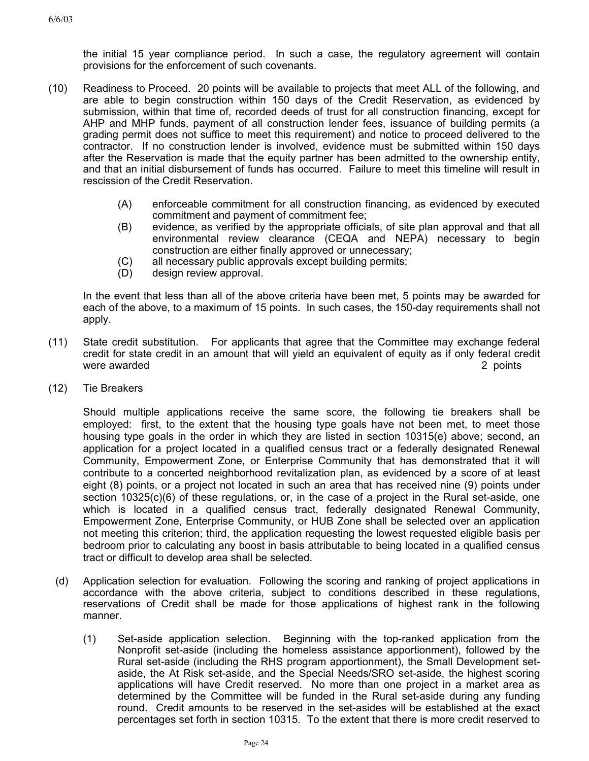the initial 15 year compliance period. In such a case, the regulatory agreement will contain provisions for the enforcement of such covenants.

- (10) Readiness to Proceed. 20 points will be available to projects that meet ALL of the following, and are able to begin construction within 150 days of the Credit Reservation, as evidenced by submission, within that time of, recorded deeds of trust for all construction financing, except for AHP and MHP funds, payment of all construction lender fees, issuance of building permits (a grading permit does not suffice to meet this requirement) and notice to proceed delivered to the contractor. If no construction lender is involved, evidence must be submitted within 150 days after the Reservation is made that the equity partner has been admitted to the ownership entity, and that an initial disbursement of funds has occurred. Failure to meet this timeline will result in rescission of the Credit Reservation.
	- (A) enforceable commitment for all construction financing, as evidenced by executed commitment and payment of commitment fee;
	- (B) evidence, as verified by the appropriate officials, of site plan approval and that all environmental review clearance (CEQA and NEPA) necessary to begin construction are either finally approved or unnecessary;
	- (C) all necessary public approvals except building permits;
	- (D) design review approval.

In the event that less than all of the above criteria have been met, 5 points may be awarded for each of the above, to a maximum of 15 points. In such cases, the 150-day requirements shall not apply.

- (11) State credit substitution. For applicants that agree that the Committee may exchange federal credit for state credit in an amount that will yield an equivalent of equity as if only federal credit were awarded **2** points **2** points **2** points **2** points **2** points **2** points **2** points **2** points **2** points **2** points **2** points **2** points **2** points **2** points **2** points **2** points **2** points **2** points **2** points
- (12) Tie Breakers

Should multiple applications receive the same score, the following tie breakers shall be employed: first, to the extent that the housing type goals have not been met, to meet those housing type goals in the order in which they are listed in section 10315(e) above; second, an application for a project located in a qualified census tract or a federally designated Renewal Community, Empowerment Zone, or Enterprise Community that has demonstrated that it will contribute to a concerted neighborhood revitalization plan, as evidenced by a score of at least eight (8) points, or a project not located in such an area that has received nine (9) points under section 10325(c)(6) of these regulations, or, in the case of a project in the Rural set-aside, one which is located in a qualified census tract, federally designated Renewal Community, Empowerment Zone, Enterprise Community, or HUB Zone shall be selected over an application not meeting this criterion; third, the application requesting the lowest requested eligible basis per bedroom prior to calculating any boost in basis attributable to being located in a qualified census tract or difficult to develop area shall be selected.

- (d) Application selection for evaluation. Following the scoring and ranking of project applications in accordance with the above criteria, subject to conditions described in these regulations, reservations of Credit shall be made for those applications of highest rank in the following manner.
	- (1) Set-aside application selection. Beginning with the top-ranked application from the Nonprofit set-aside (including the homeless assistance apportionment), followed by the Rural set-aside (including the RHS program apportionment), the Small Development setaside, the At Risk set-aside, and the Special Needs/SRO set-aside, the highest scoring applications will have Credit reserved. No more than one project in a market area as determined by the Committee will be funded in the Rural set-aside during any funding round. Credit amounts to be reserved in the set-asides will be established at the exact percentages set forth in section 10315. To the extent that there is more credit reserved to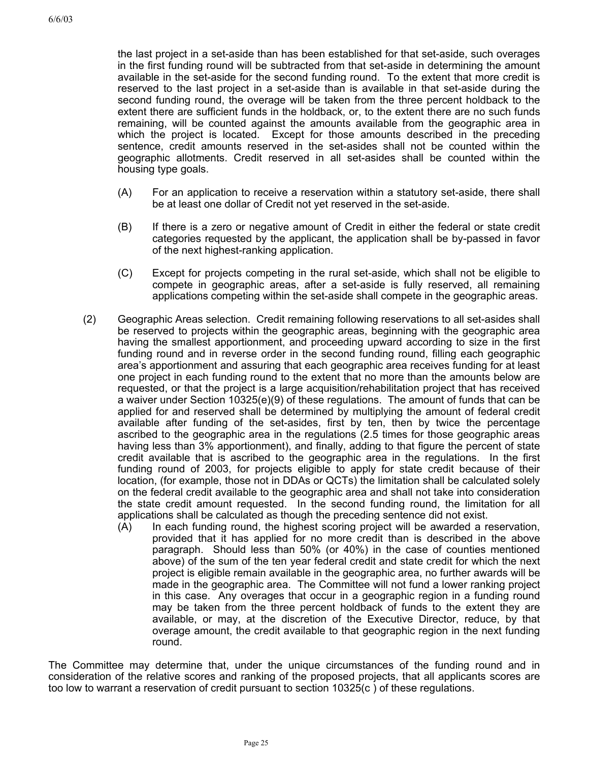the last project in a set-aside than has been established for that set-aside, such overages in the first funding round will be subtracted from that set-aside in determining the amount available in the set-aside for the second funding round. To the extent that more credit is reserved to the last project in a set-aside than is available in that set-aside during the second funding round, the overage will be taken from the three percent holdback to the extent there are sufficient funds in the holdback, or, to the extent there are no such funds remaining, will be counted against the amounts available from the geographic area in which the project is located. Except for those amounts described in the preceding sentence, credit amounts reserved in the set-asides shall not be counted within the geographic allotments. Credit reserved in all set-asides shall be counted within the housing type goals.

- (A) For an application to receive a reservation within a statutory set-aside, there shall be at least one dollar of Credit not yet reserved in the set-aside.
- (B) If there is a zero or negative amount of Credit in either the federal or state credit categories requested by the applicant, the application shall be by-passed in favor of the next highest-ranking application.
- (C) Except for projects competing in the rural set-aside, which shall not be eligible to compete in geographic areas, after a set-aside is fully reserved, all remaining applications competing within the set-aside shall compete in the geographic areas.
- (2) Geographic Areas selection. Credit remaining following reservations to all set-asides shall be reserved to projects within the geographic areas, beginning with the geographic area having the smallest apportionment, and proceeding upward according to size in the first funding round and in reverse order in the second funding round, filling each geographic area's apportionment and assuring that each geographic area receives funding for at least one project in each funding round to the extent that no more than the amounts below are requested, or that the project is a large acquisition/rehabilitation project that has received a waiver under Section 10325(e)(9) of these regulations. The amount of funds that can be applied for and reserved shall be determined by multiplying the amount of federal credit available after funding of the set-asides, first by ten, then by twice the percentage ascribed to the geographic area in the regulations (2.5 times for those geographic areas having less than 3% apportionment), and finally, adding to that figure the percent of state credit available that is ascribed to the geographic area in the regulations. In the first funding round of 2003, for projects eligible to apply for state credit because of their location, (for example, those not in DDAs or QCTs) the limitation shall be calculated solely on the federal credit available to the geographic area and shall not take into consideration the state credit amount requested. In the second funding round, the limitation for all applications shall be calculated as though the preceding sentence did not exist.
	- (A) In each funding round, the highest scoring project will be awarded a reservation, provided that it has applied for no more credit than is described in the above paragraph. Should less than 50% (or 40%) in the case of counties mentioned above) of the sum of the ten year federal credit and state credit for which the next project is eligible remain available in the geographic area, no further awards will be made in the geographic area. The Committee will not fund a lower ranking project in this case. Any overages that occur in a geographic region in a funding round may be taken from the three percent holdback of funds to the extent they are available, or may, at the discretion of the Executive Director, reduce, by that overage amount, the credit available to that geographic region in the next funding round.

The Committee may determine that, under the unique circumstances of the funding round and in consideration of the relative scores and ranking of the proposed projects, that all applicants scores are too low to warrant a reservation of credit pursuant to section 10325(c ) of these regulations.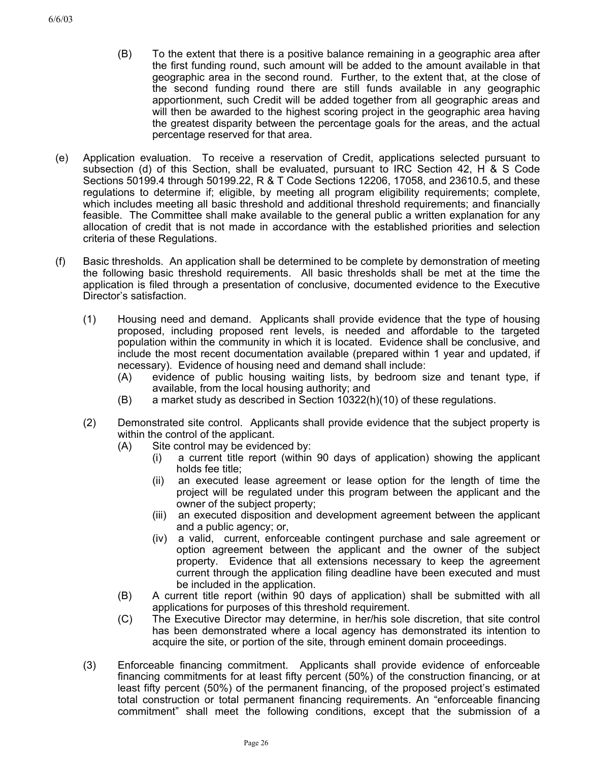- (B) To the extent that there is a positive balance remaining in a geographic area after the first funding round, such amount will be added to the amount available in that geographic area in the second round. Further, to the extent that, at the close of the second funding round there are still funds available in any geographic apportionment, such Credit will be added together from all geographic areas and will then be awarded to the highest scoring project in the geographic area having the greatest disparity between the percentage goals for the areas, and the actual percentage reserved for that area.
- (e) Application evaluation. To receive a reservation of Credit, applications selected pursuant to subsection (d) of this Section, shall be evaluated, pursuant to IRC Section 42, H & S Code Sections 50199.4 through 50199.22, R & T Code Sections 12206, 17058, and 23610.5, and these regulations to determine if; eligible, by meeting all program eligibility requirements; complete, which includes meeting all basic threshold and additional threshold requirements; and financially feasible. The Committee shall make available to the general public a written explanation for any allocation of credit that is not made in accordance with the established priorities and selection criteria of these Regulations.
- (f) Basic thresholds. An application shall be determined to be complete by demonstration of meeting the following basic threshold requirements. All basic thresholds shall be met at the time the application is filed through a presentation of conclusive, documented evidence to the Executive Director's satisfaction.
	- (1) Housing need and demand. Applicants shall provide evidence that the type of housing proposed, including proposed rent levels, is needed and affordable to the targeted population within the community in which it is located. Evidence shall be conclusive, and include the most recent documentation available (prepared within 1 year and updated, if necessary). Evidence of housing need and demand shall include:
		- (A) evidence of public housing waiting lists, by bedroom size and tenant type, if available, from the local housing authority; and
		- $(B)$  a market study as described in Section 10322(h)(10) of these regulations.
	- (2) Demonstrated site control. Applicants shall provide evidence that the subject property is within the control of the applicant.
		- (A) Site control may be evidenced by:
			- (i) a current title report (within 90 days of application) showing the applicant holds fee title;
			- (ii) an executed lease agreement or lease option for the length of time the project will be regulated under this program between the applicant and the owner of the subject property;
			- (iii) an executed disposition and development agreement between the applicant and a public agency; or,
			- (iv) a valid, current, enforceable contingent purchase and sale agreement or option agreement between the applicant and the owner of the subject property. Evidence that all extensions necessary to keep the agreement current through the application filing deadline have been executed and must be included in the application.
		- (B) A current title report (within 90 days of application) shall be submitted with all applications for purposes of this threshold requirement.
		- (C) The Executive Director may determine, in her/his sole discretion, that site control has been demonstrated where a local agency has demonstrated its intention to acquire the site, or portion of the site, through eminent domain proceedings.
	- (3) Enforceable financing commitment. Applicants shall provide evidence of enforceable financing commitments for at least fifty percent (50%) of the construction financing, or at least fifty percent (50%) of the permanent financing, of the proposed project's estimated total construction or total permanent financing requirements. An "enforceable financing commitment" shall meet the following conditions, except that the submission of a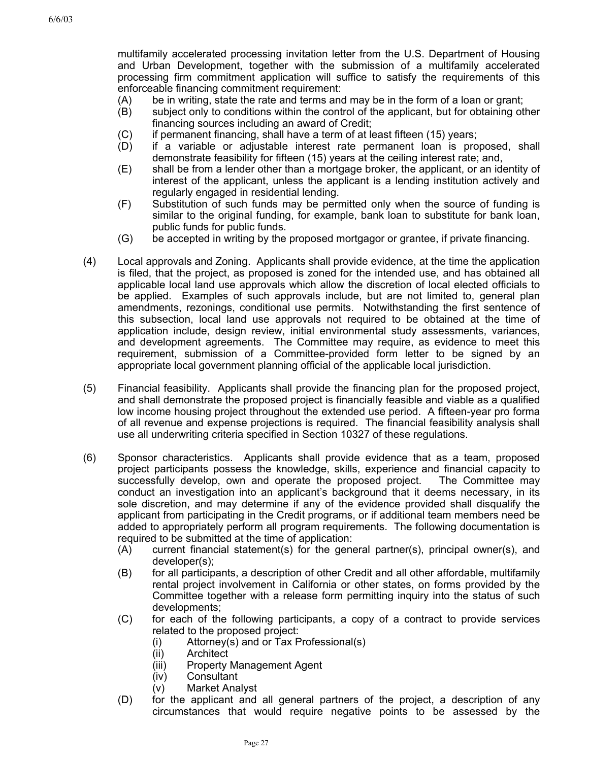multifamily accelerated processing invitation letter from the U.S. Department of Housing and Urban Development, together with the submission of a multifamily accelerated processing firm commitment application will suffice to satisfy the requirements of this enforceable financing commitment requirement:

- (A) be in writing, state the rate and terms and may be in the form of a loan or grant;
- (B) subject only to conditions within the control of the applicant, but for obtaining other financing sources including an award of Credit;
- (C) if permanent financing, shall have a term of at least fifteen (15) years;
- (D) if a variable or adjustable interest rate permanent loan is proposed, shall demonstrate feasibility for fifteen (15) years at the ceiling interest rate; and,
- (E) shall be from a lender other than a mortgage broker, the applicant, or an identity of interest of the applicant, unless the applicant is a lending institution actively and regularly engaged in residential lending.
- (F) Substitution of such funds may be permitted only when the source of funding is similar to the original funding, for example, bank loan to substitute for bank loan, public funds for public funds.
- (G) be accepted in writing by the proposed mortgagor or grantee, if private financing.
- (4) Local approvals and Zoning. Applicants shall provide evidence, at the time the application is filed, that the project, as proposed is zoned for the intended use, and has obtained all applicable local land use approvals which allow the discretion of local elected officials to be applied. Examples of such approvals include, but are not limited to, general plan amendments, rezonings, conditional use permits. Notwithstanding the first sentence of this subsection, local land use approvals not required to be obtained at the time of application include, design review, initial environmental study assessments, variances, and development agreements. The Committee may require, as evidence to meet this requirement, submission of a Committee-provided form letter to be signed by an appropriate local government planning official of the applicable local jurisdiction.
- (5) Financial feasibility. Applicants shall provide the financing plan for the proposed project, and shall demonstrate the proposed project is financially feasible and viable as a qualified low income housing project throughout the extended use period. A fifteen-year pro forma of all revenue and expense projections is required. The financial feasibility analysis shall use all underwriting criteria specified in Section 10327 of these regulations.
- (6) Sponsor characteristics. Applicants shall provide evidence that as a team, proposed project participants possess the knowledge, skills, experience and financial capacity to successfully develop, own and operate the proposed project. The Committee may conduct an investigation into an applicant's background that it deems necessary, in its sole discretion, and may determine if any of the evidence provided shall disqualify the applicant from participating in the Credit programs, or if additional team members need be added to appropriately perform all program requirements. The following documentation is required to be submitted at the time of application:
	- (A) current financial statement(s) for the general partner(s), principal owner(s), and developer(s);
	- (B) for all participants, a description of other Credit and all other affordable, multifamily rental project involvement in California or other states, on forms provided by the Committee together with a release form permitting inquiry into the status of such developments;
	- (C) for each of the following participants, a copy of a contract to provide services related to the proposed project:
		- (i) Attorney(s) and or Tax Professional(s)
		- (ii) Architect
		- (iii) Property Management Agent
		- (iv) Consultant
		- (v) Market Analyst
	- (D) for the applicant and all general partners of the project, a description of any circumstances that would require negative points to be assessed by the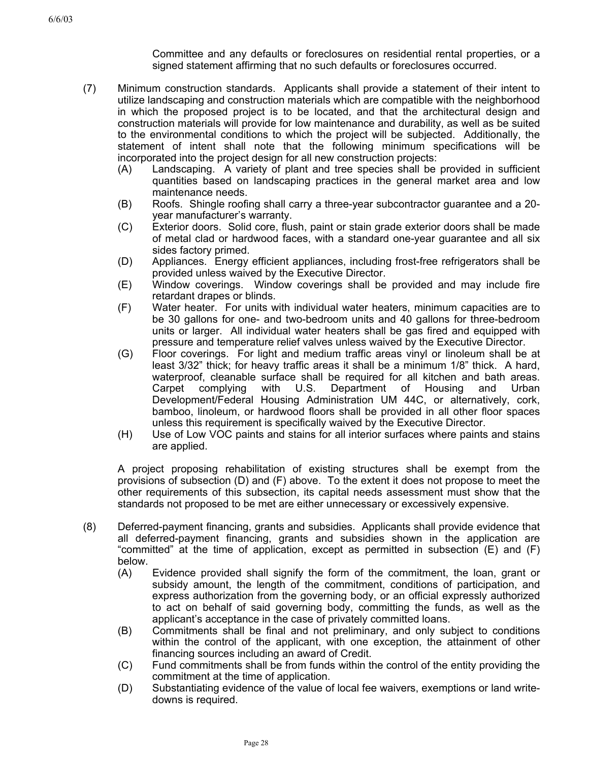Committee and any defaults or foreclosures on residential rental properties, or a signed statement affirming that no such defaults or foreclosures occurred.

- (7) Minimum construction standards. Applicants shall provide a statement of their intent to utilize landscaping and construction materials which are compatible with the neighborhood in which the proposed project is to be located, and that the architectural design and construction materials will provide for low maintenance and durability, as well as be suited to the environmental conditions to which the project will be subjected. Additionally, the statement of intent shall note that the following minimum specifications will be incorporated into the project design for all new construction projects:
	- (A) Landscaping. A variety of plant and tree species shall be provided in sufficient quantities based on landscaping practices in the general market area and low maintenance needs.
	- (B) Roofs. Shingle roofing shall carry a three-year subcontractor guarantee and a 20 year manufacturer's warranty.
	- (C) Exterior doors. Solid core, flush, paint or stain grade exterior doors shall be made of metal clad or hardwood faces, with a standard one-year guarantee and all six sides factory primed.
	- (D) Appliances. Energy efficient appliances, including frost-free refrigerators shall be provided unless waived by the Executive Director.
	- (E) Window coverings. Window coverings shall be provided and may include fire retardant drapes or blinds.
	- (F) Water heater. For units with individual water heaters, minimum capacities are to be 30 gallons for one- and two-bedroom units and 40 gallons for three-bedroom units or larger. All individual water heaters shall be gas fired and equipped with pressure and temperature relief valves unless waived by the Executive Director.
	- (G) Floor coverings. For light and medium traffic areas vinyl or linoleum shall be at least 3/32" thick; for heavy traffic areas it shall be a minimum 1/8" thick. A hard, waterproof, cleanable surface shall be required for all kitchen and bath areas. Carpet complying with U.S. Department of Housing and Urban Development/Federal Housing Administration UM 44C, or alternatively, cork, bamboo, linoleum, or hardwood floors shall be provided in all other floor spaces unless this requirement is specifically waived by the Executive Director.
	- (H) Use of Low VOC paints and stains for all interior surfaces where paints and stains are applied.

A project proposing rehabilitation of existing structures shall be exempt from the provisions of subsection (D) and (F) above. To the extent it does not propose to meet the other requirements of this subsection, its capital needs assessment must show that the standards not proposed to be met are either unnecessary or excessively expensive.

- (8) Deferred-payment financing, grants and subsidies. Applicants shall provide evidence that all deferred-payment financing, grants and subsidies shown in the application are "committed" at the time of application, except as permitted in subsection (E) and (F) below.
	- (A) Evidence provided shall signify the form of the commitment, the loan, grant or subsidy amount, the length of the commitment, conditions of participation, and express authorization from the governing body, or an official expressly authorized to act on behalf of said governing body, committing the funds, as well as the applicant's acceptance in the case of privately committed loans.
	- (B) Commitments shall be final and not preliminary, and only subject to conditions within the control of the applicant, with one exception, the attainment of other financing sources including an award of Credit.
	- (C) Fund commitments shall be from funds within the control of the entity providing the commitment at the time of application.
	- (D) Substantiating evidence of the value of local fee waivers, exemptions or land writedowns is required.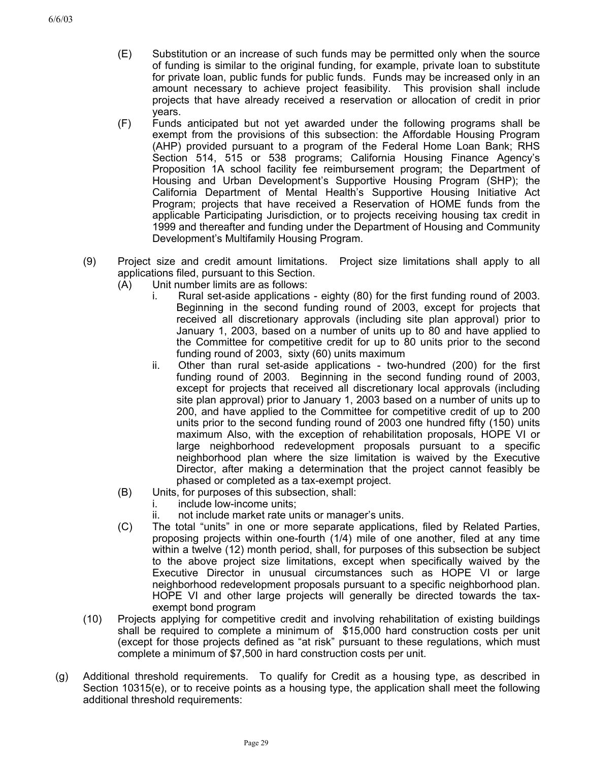- (E) Substitution or an increase of such funds may be permitted only when the source of funding is similar to the original funding, for example, private loan to substitute for private loan, public funds for public funds. Funds may be increased only in an amount necessary to achieve project feasibility. This provision shall include projects that have already received a reservation or allocation of credit in prior years.
- (F) Funds anticipated but not yet awarded under the following programs shall be exempt from the provisions of this subsection: the Affordable Housing Program (AHP) provided pursuant to a program of the Federal Home Loan Bank; RHS Section 514, 515 or 538 programs; California Housing Finance Agency's Proposition 1A school facility fee reimbursement program; the Department of Housing and Urban Development's Supportive Housing Program (SHP); the California Department of Mental Health's Supportive Housing Initiative Act Program; projects that have received a Reservation of HOME funds from the applicable Participating Jurisdiction, or to projects receiving housing tax credit in 1999 and thereafter and funding under the Department of Housing and Community Development's Multifamily Housing Program.
- (9) Project size and credit amount limitations. Project size limitations shall apply to all applications filed, pursuant to this Section.
	- (A) Unit number limits are as follows:
		- i. Rural set-aside applications eighty (80) for the first funding round of 2003. Beginning in the second funding round of 2003, except for projects that received all discretionary approvals (including site plan approval) prior to January 1, 2003, based on a number of units up to 80 and have applied to the Committee for competitive credit for up to 80 units prior to the second funding round of 2003, sixty (60) units maximum
		- ii. Other than rural set-aside applications two-hundred (200) for the first funding round of 2003. Beginning in the second funding round of 2003, except for projects that received all discretionary local approvals (including site plan approval) prior to January 1, 2003 based on a number of units up to 200, and have applied to the Committee for competitive credit of up to 200 units prior to the second funding round of 2003 one hundred fifty (150) units maximum Also, with the exception of rehabilitation proposals, HOPE VI or large neighborhood redevelopment proposals pursuant to a specific neighborhood plan where the size limitation is waived by the Executive Director, after making a determination that the project cannot feasibly be phased or completed as a tax-exempt project.
	- (B) Units, for purposes of this subsection, shall:
		- i. include low-income units:
		- ii. not include market rate units or manager's units.
	- (C) The total "units" in one or more separate applications, filed by Related Parties, proposing projects within one-fourth (1/4) mile of one another, filed at any time within a twelve (12) month period, shall, for purposes of this subsection be subject to the above project size limitations, except when specifically waived by the Executive Director in unusual circumstances such as HOPE VI or large neighborhood redevelopment proposals pursuant to a specific neighborhood plan. HOPE VI and other large projects will generally be directed towards the taxexempt bond program
- (10) Projects applying for competitive credit and involving rehabilitation of existing buildings shall be required to complete a minimum of \$15,000 hard construction costs per unit (except for those projects defined as "at risk" pursuant to these regulations, which must complete a minimum of \$7,500 in hard construction costs per unit.
- (g) Additional threshold requirements. To qualify for Credit as a housing type, as described in Section 10315(e), or to receive points as a housing type, the application shall meet the following additional threshold requirements: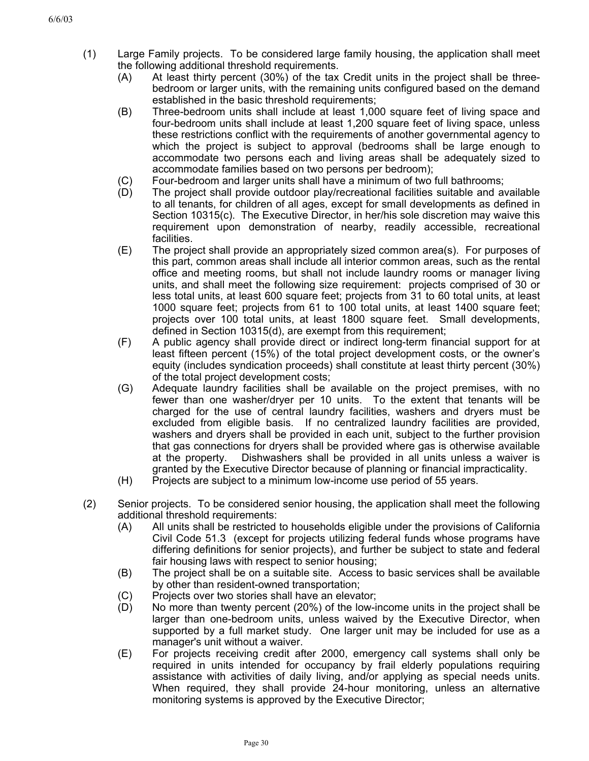- (1) Large Family projects. To be considered large family housing, the application shall meet the following additional threshold requirements.
	- (A) At least thirty percent (30%) of the tax Credit units in the project shall be threebedroom or larger units, with the remaining units configured based on the demand established in the basic threshold requirements;
	- (B) Three-bedroom units shall include at least 1,000 square feet of living space and four-bedroom units shall include at least 1,200 square feet of living space, unless these restrictions conflict with the requirements of another governmental agency to which the project is subject to approval (bedrooms shall be large enough to accommodate two persons each and living areas shall be adequately sized to accommodate families based on two persons per bedroom);
	- (C) Four-bedroom and larger units shall have a minimum of two full bathrooms;
	- (D) The project shall provide outdoor play/recreational facilities suitable and available to all tenants, for children of all ages, except for small developments as defined in Section 10315(c). The Executive Director, in her/his sole discretion may waive this requirement upon demonstration of nearby, readily accessible, recreational facilities.
	- (E) The project shall provide an appropriately sized common area(s). For purposes of this part, common areas shall include all interior common areas, such as the rental office and meeting rooms, but shall not include laundry rooms or manager living units, and shall meet the following size requirement: projects comprised of 30 or less total units, at least 600 square feet; projects from 31 to 60 total units, at least 1000 square feet; projects from 61 to 100 total units, at least 1400 square feet; projects over 100 total units, at least 1800 square feet. Small developments, defined in Section 10315(d), are exempt from this requirement;
	- (F) A public agency shall provide direct or indirect long-term financial support for at least fifteen percent (15%) of the total project development costs, or the owner's equity (includes syndication proceeds) shall constitute at least thirty percent (30%) of the total project development costs;
	- (G) Adequate laundry facilities shall be available on the project premises, with no fewer than one washer/dryer per 10 units. To the extent that tenants will be charged for the use of central laundry facilities, washers and dryers must be excluded from eligible basis. If no centralized laundry facilities are provided, washers and dryers shall be provided in each unit, subject to the further provision that gas connections for dryers shall be provided where gas is otherwise available at the property. Dishwashers shall be provided in all units unless a waiver is granted by the Executive Director because of planning or financial impracticality.
	- (H) Projects are subject to a minimum low-income use period of 55 years.
- (2) Senior projects. To be considered senior housing, the application shall meet the following additional threshold requirements:
	- (A) All units shall be restricted to households eligible under the provisions of California Civil Code 51.3 (except for projects utilizing federal funds whose programs have differing definitions for senior projects), and further be subject to state and federal fair housing laws with respect to senior housing;
	- (B) The project shall be on a suitable site. Access to basic services shall be available by other than resident-owned transportation;
	- (C) Projects over two stories shall have an elevator;
	- (D) No more than twenty percent (20%) of the low-income units in the project shall be larger than one-bedroom units, unless waived by the Executive Director, when supported by a full market study. One larger unit may be included for use as a manager's unit without a waiver.
	- (E) For projects receiving credit after 2000, emergency call systems shall only be required in units intended for occupancy by frail elderly populations requiring assistance with activities of daily living, and/or applying as special needs units. When required, they shall provide 24-hour monitoring, unless an alternative monitoring systems is approved by the Executive Director;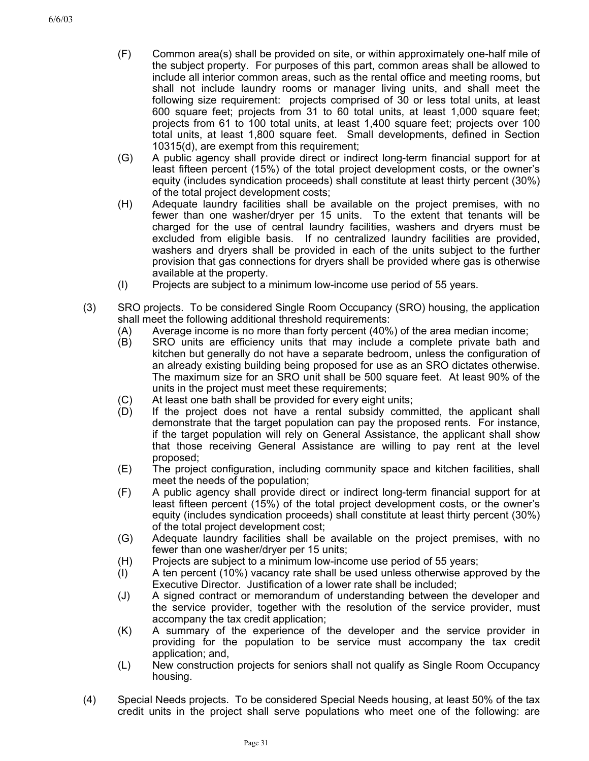- (F) Common area(s) shall be provided on site, or within approximately one-half mile of the subject property. For purposes of this part, common areas shall be allowed to include all interior common areas, such as the rental office and meeting rooms, but shall not include laundry rooms or manager living units, and shall meet the following size requirement: projects comprised of 30 or less total units, at least 600 square feet; projects from 31 to 60 total units, at least 1,000 square feet; projects from 61 to 100 total units, at least 1,400 square feet; projects over 100 total units, at least 1,800 square feet. Small developments, defined in Section 10315(d), are exempt from this requirement;
- (G) A public agency shall provide direct or indirect long-term financial support for at least fifteen percent (15%) of the total project development costs, or the owner's equity (includes syndication proceeds) shall constitute at least thirty percent (30%) of the total project development costs;
- (H) Adequate laundry facilities shall be available on the project premises, with no fewer than one washer/dryer per 15 units. To the extent that tenants will be charged for the use of central laundry facilities, washers and dryers must be excluded from eligible basis. If no centralized laundry facilities are provided, washers and dryers shall be provided in each of the units subject to the further provision that gas connections for dryers shall be provided where gas is otherwise available at the property.
- (I) Projects are subject to a minimum low-income use period of 55 years.
- (3) SRO projects. To be considered Single Room Occupancy (SRO) housing, the application shall meet the following additional threshold requirements:
	- (A) Average income is no more than forty percent (40%) of the area median income;
	- (B) SRO units are efficiency units that may include a complete private bath and kitchen but generally do not have a separate bedroom, unless the configuration of an already existing building being proposed for use as an SRO dictates otherwise. The maximum size for an SRO unit shall be 500 square feet. At least 90% of the units in the project must meet these requirements;
	- (C) At least one bath shall be provided for every eight units;
	- (D) If the project does not have a rental subsidy committed, the applicant shall demonstrate that the target population can pay the proposed rents. For instance, if the target population will rely on General Assistance, the applicant shall show that those receiving General Assistance are willing to pay rent at the level proposed;
	- (E) The project configuration, including community space and kitchen facilities, shall meet the needs of the population;
	- (F) A public agency shall provide direct or indirect long-term financial support for at least fifteen percent (15%) of the total project development costs, or the owner's equity (includes syndication proceeds) shall constitute at least thirty percent (30%) of the total project development cost;
	- (G) Adequate laundry facilities shall be available on the project premises, with no fewer than one washer/dryer per 15 units;
	- (H) Projects are subject to a minimum low-income use period of 55 years;
	- (I) A ten percent (10%) vacancy rate shall be used unless otherwise approved by the Executive Director. Justification of a lower rate shall be included;
	- (J) A signed contract or memorandum of understanding between the developer and the service provider, together with the resolution of the service provider, must accompany the tax credit application;
	- (K) A summary of the experience of the developer and the service provider in providing for the population to be service must accompany the tax credit application; and,
	- (L) New construction projects for seniors shall not qualify as Single Room Occupancy housing.
- (4) Special Needs projects. To be considered Special Needs housing, at least 50% of the tax credit units in the project shall serve populations who meet one of the following: are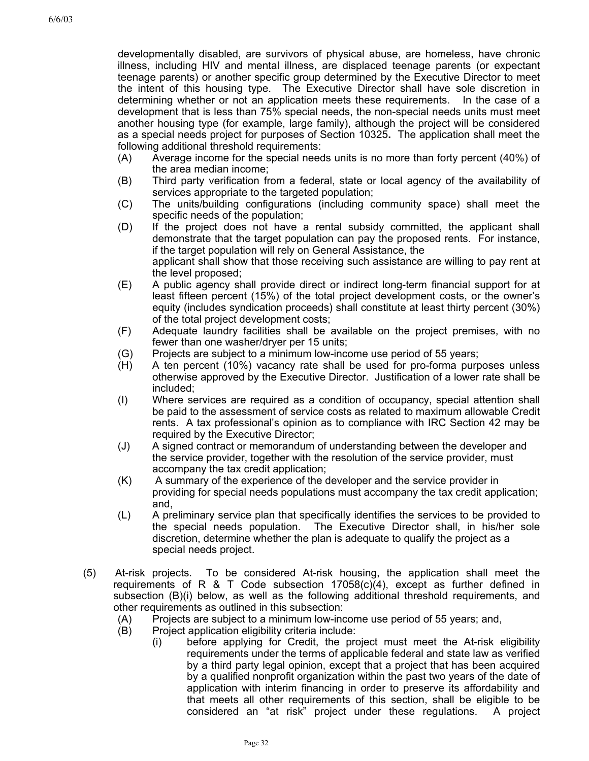developmentally disabled, are survivors of physical abuse, are homeless, have chronic illness, including HIV and mental illness, are displaced teenage parents (or expectant teenage parents) or another specific group determined by the Executive Director to meet the intent of this housing type. The Executive Director shall have sole discretion in determining whether or not an application meets these requirements. In the case of a development that is less than 75% special needs, the non-special needs units must meet another housing type (for example, large family), although the project will be considered as a special needs project for purposes of Section 10325**.** The application shall meet the following additional threshold requirements:

- (A) Average income for the special needs units is no more than forty percent (40%) of the area median income;
- (B) Third party verification from a federal, state or local agency of the availability of services appropriate to the targeted population;
- (C) The units/building configurations (including community space) shall meet the specific needs of the population;
- (D) If the project does not have a rental subsidy committed, the applicant shall demonstrate that the target population can pay the proposed rents. For instance, if the target population will rely on General Assistance, the applicant shall show that those receiving such assistance are willing to pay rent at the level proposed;
- (E) A public agency shall provide direct or indirect long-term financial support for at least fifteen percent (15%) of the total project development costs, or the owner's equity (includes syndication proceeds) shall constitute at least thirty percent (30%) of the total project development costs;
- (F) Adequate laundry facilities shall be available on the project premises, with no fewer than one washer/dryer per 15 units;
- (G) Projects are subject to a minimum low-income use period of 55 years;
- (H) A ten percent (10%) vacancy rate shall be used for pro-forma purposes unless otherwise approved by the Executive Director. Justification of a lower rate shall be included;
- (I) Where services are required as a condition of occupancy, special attention shall be paid to the assessment of service costs as related to maximum allowable Credit rents. A tax professional's opinion as to compliance with IRC Section 42 may be required by the Executive Director;
- (J) A signed contract or memorandum of understanding between the developer and the service provider, together with the resolution of the service provider, must accompany the tax credit application;
- (K) A summary of the experience of the developer and the service provider in providing for special needs populations must accompany the tax credit application; and,
- (L) A preliminary service plan that specifically identifies the services to be provided to the special needs population. The Executive Director shall, in his/her sole discretion, determine whether the plan is adequate to qualify the project as a special needs project.
- (5) At-risk projects. To be considered At-risk housing, the application shall meet the requirements of R & T Code subsection  $17058(c)(4)$ , except as further defined in subsection (B)(i) below, as well as the following additional threshold requirements, and other requirements as outlined in this subsection:
	- (A) Projects are subject to a minimum low-income use period of 55 years; and,
	- (B) Project application eligibility criteria include:
		- (i) before applying for Credit, the project must meet the At-risk eligibility requirements under the terms of applicable federal and state law as verified by a third party legal opinion, except that a project that has been acquired by a qualified nonprofit organization within the past two years of the date of application with interim financing in order to preserve its affordability and that meets all other requirements of this section, shall be eligible to be considered an "at risk" project under these regulations. A project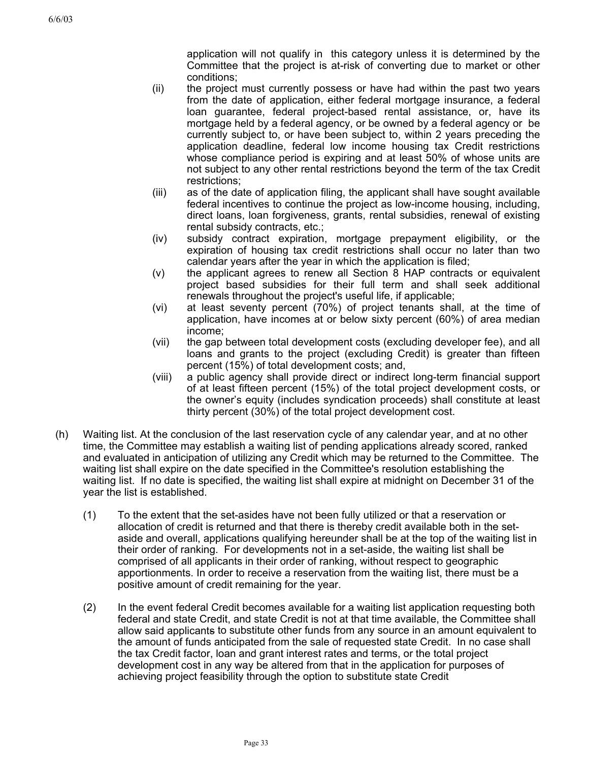application will not qualify in this category unless it is determined by the Committee that the project is at-risk of converting due to market or other conditions;

- (ii) the project must currently possess or have had within the past two years from the date of application, either federal mortgage insurance, a federal loan guarantee, federal project-based rental assistance, or, have its mortgage held by a federal agency, or be owned by a federal agency orbe currently subject to, or have been subject to, within 2 years preceding the application deadline, federal low income housing tax Credit restrictions whose compliance period is expiring and at least 50% of whose units are not subject to any other rental restrictions beyond the term of the tax Credit restrictions;
- (iii) as of the date of application filing, the applicant shall have sought available federal incentives to continue the project as low-income housing, including, direct loans, loan forgiveness, grants, rental subsidies, renewal of existing rental subsidy contracts, etc.;
- (iv) subsidy contract expiration, mortgage prepayment eligibility, or the expiration of housing tax credit restrictions shall occur no later than two calendar years after the year in which the application is filed;
- (v) the applicant agrees to renew all Section 8 HAP contracts or equivalent project based subsidies for their full term and shall seek additional renewals throughout the project's useful life, if applicable;
- (vi) at least seventy percent (70%) of project tenants shall, at the time of application, have incomes at or below sixty percent (60%) of area median income;
- (vii) the gap between total development costs (excluding developer fee), and all loans and grants to the project (excluding Credit) is greater than fifteen percent (15%) of total development costs; and,
- (viii) a public agency shall provide direct or indirect long-term financial support of at least fifteen percent (15%) of the total project development costs, or the owner's equity (includes syndication proceeds) shall constitute at least thirty percent (30%) of the total project development cost.
- (h) Waiting list. At the conclusion of the last reservation cycle of any calendar year, and at no other time, the Committee may establish a waiting list of pending applications already scored, ranked and evaluated in anticipation of utilizing any Credit which may be returned to the Committee. The waiting list shall expire on the date specified in the Committee's resolution establishing the waiting list. If no date is specified, the waiting list shall expire at midnight on December 31 of the year the list is established.
	- (1) To the extent that the set-asides have not been fully utilized or that a reservation or allocation of credit is returned and that there is thereby credit available both in the setaside and overall, applications qualifying hereunder shall be at the top of the waiting list in their order of ranking. For developments not in a set-aside, the waiting list shall be comprised of all applicants in their order of ranking, without respect to geographic apportionments. In order to receive a reservation from the waiting list, there must be a positive amount of credit remaining for the year.
	- (2) In the event federal Credit becomes available for a waiting list application requesting both federal and state Credit, and state Credit is not at that time available, the Committee shall allow said applicants to substitute other funds from any source in an amount equivalent to the amount of funds anticipated from the sale of requested state Credit. In no case shall the tax Credit factor, loan and grant interest rates and terms, or the total project development cost in any way be altered from that in the application for purposes of achieving project feasibility through the option to substitute state Credit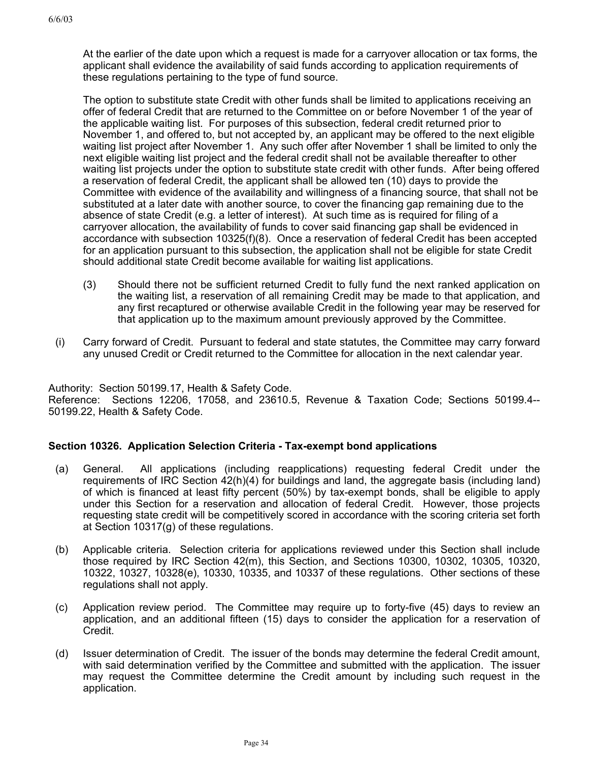At the earlier of the date upon which a request is made for a carryover allocation or tax forms, the applicant shall evidence the availability of said funds according to application requirements of these regulations pertaining to the type of fund source.

The option to substitute state Credit with other funds shall be limited to applications receiving an offer of federal Credit that are returned to the Committee on or before November 1 of the year of the applicable waiting list. For purposes of this subsection, federal credit returned prior to November 1, and offered to, but not accepted by, an applicant may be offered to the next eligible waiting list project after November 1. Any such offer after November 1 shall be limited to only the next eligible waiting list project and the federal credit shall not be available thereafter to other waiting list projects under the option to substitute state credit with other funds. After being offered a reservation of federal Credit, the applicant shall be allowed ten (10) days to provide the Committee with evidence of the availability and willingness of a financing source, that shall not be substituted at a later date with another source, to cover the financing gap remaining due to the absence of state Credit (e.g. a letter of interest). At such time as is required for filing of a carryover allocation, the availability of funds to cover said financing gap shall be evidenced in accordance with subsection 10325(f)(8). Once a reservation of federal Credit has been accepted for an application pursuant to this subsection, the application shall not be eligible for state Credit should additional state Credit become available for waiting list applications.

- (3) Should there not be sufficient returned Credit to fully fund the next ranked application on the waiting list, a reservation of all remaining Credit may be made to that application, and any first recaptured or otherwise available Credit in the following year may be reserved for that application up to the maximum amount previously approved by the Committee.
- (i) Carry forward of Credit. Pursuant to federal and state statutes, the Committee may carry forward any unused Credit or Credit returned to the Committee for allocation in the next calendar year.

Authority: Section 50199.17, Health & Safety Code. Reference: Sections 12206, 17058, and 23610.5, Revenue & Taxation Code; Sections 50199.4-- 50199.22, Health & Safety Code.

# **Section 10326. Application Selection Criteria - Tax-exempt bond applications**

- (a) General. All applications (including reapplications) requesting federal Credit under the requirements of IRC Section 42(h)(4) for buildings and land, the aggregate basis (including land) of which is financed at least fifty percent (50%) by tax-exempt bonds, shall be eligible to apply under this Section for a reservation and allocation of federal Credit. However, those projects requesting state credit will be competitively scored in accordance with the scoring criteria set forth at Section 10317(g) of these regulations.
- (b) Applicable criteria. Selection criteria for applications reviewed under this Section shall include those required by IRC Section 42(m), this Section, and Sections 10300, 10302, 10305, 10320, 10322, 10327, 10328(e), 10330, 10335, and 10337 of these regulations. Other sections of these regulations shall not apply.
- (c) Application review period. The Committee may require up to forty-five (45) days to review an application, and an additional fifteen (15) days to consider the application for a reservation of Credit.
- (d) Issuer determination of Credit. The issuer of the bonds may determine the federal Credit amount, with said determination verified by the Committee and submitted with the application. The issuer may request the Committee determine the Credit amount by including such request in the application.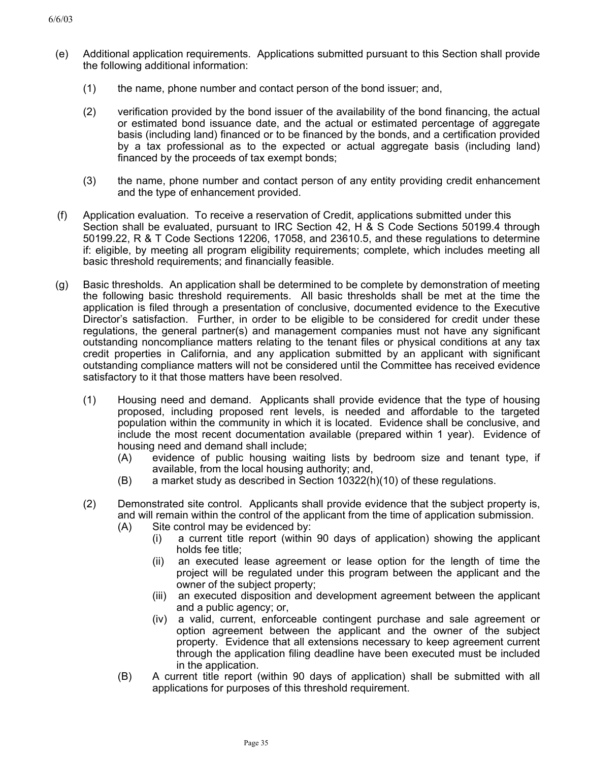- (e) Additional application requirements. Applications submitted pursuant to this Section shall provide the following additional information:
	- (1) the name, phone number and contact person of the bond issuer; and,
	- (2) verification provided by the bond issuer of the availability of the bond financing, the actual or estimated bond issuance date, and the actual or estimated percentage of aggregate basis (including land) financed or to be financed by the bonds, and a certification provided by a tax professional as to the expected or actual aggregate basis (including land) financed by the proceeds of tax exempt bonds;
	- (3) the name, phone number and contact person of any entity providing credit enhancement and the type of enhancement provided.
- (f) Application evaluation. To receive a reservation of Credit, applications submitted under this Section shall be evaluated, pursuant to IRC Section 42, H & S Code Sections 50199.4 through 50199.22, R & T Code Sections 12206, 17058, and 23610.5, and these regulations to determine if: eligible, by meeting all program eligibility requirements; complete, which includes meeting all basic threshold requirements; and financially feasible.
- (g) Basic thresholds. An application shall be determined to be complete by demonstration of meeting the following basic threshold requirements. All basic thresholds shall be met at the time the application is filed through a presentation of conclusive, documented evidence to the Executive Director's satisfaction. Further, in order to be eligible to be considered for credit under these regulations, the general partner(s) and management companies must not have any significant outstanding noncompliance matters relating to the tenant files or physical conditions at any tax credit properties in California, and any application submitted by an applicant with significant outstanding compliance matters will not be considered until the Committee has received evidence satisfactory to it that those matters have been resolved.
	- (1) Housing need and demand. Applicants shall provide evidence that the type of housing proposed, including proposed rent levels, is needed and affordable to the targeted population within the community in which it is located. Evidence shall be conclusive, and include the most recent documentation available (prepared within 1 year). Evidence of housing need and demand shall include;
		- (A) evidence of public housing waiting lists by bedroom size and tenant type, if available, from the local housing authority; and,
		- (B) a market study as described in Section 10322(h)(10) of these regulations.
	- (2) Demonstrated site control. Applicants shall provide evidence that the subject property is, and will remain within the control of the applicant from the time of application submission.
		- (A) Site control may be evidenced by:
			- (i) a current title report (within 90 days of application) showing the applicant holds fee title;
			- (ii) an executed lease agreement or lease option for the length of time the project will be regulated under this program between the applicant and the owner of the subject property;
			- (iii) an executed disposition and development agreement between the applicant and a public agency; or,
			- (iv) a valid, current, enforceable contingent purchase and sale agreement or option agreement between the applicant and the owner of the subject property. Evidence that all extensions necessary to keep agreement current through the application filing deadline have been executed must be included in the application.
		- (B) A current title report (within 90 days of application) shall be submitted with all applications for purposes of this threshold requirement.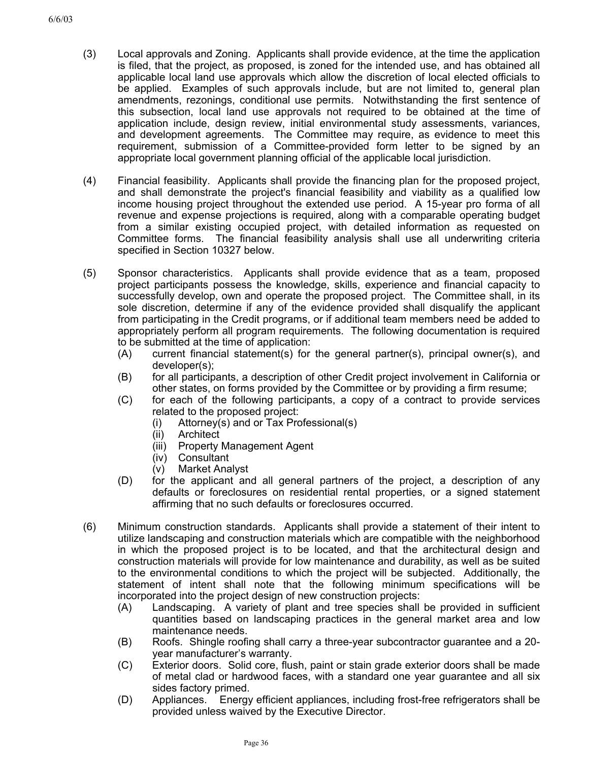- (3) Local approvals and Zoning. Applicants shall provide evidence, at the time the application is filed, that the project, as proposed, is zoned for the intended use, and has obtained all applicable local land use approvals which allow the discretion of local elected officials to be applied. Examples of such approvals include, but are not limited to, general plan amendments, rezonings, conditional use permits. Notwithstanding the first sentence of this subsection, local land use approvals not required to be obtained at the time of application include, design review, initial environmental study assessments, variances, and development agreements. The Committee may require, as evidence to meet this requirement, submission of a Committee-provided form letter to be signed by an appropriate local government planning official of the applicable local jurisdiction.
- (4) Financial feasibility. Applicants shall provide the financing plan for the proposed project, and shall demonstrate the project's financial feasibility and viability as a qualified low income housing project throughout the extended use period. A 15-year pro forma of all revenue and expense projections is required, along with a comparable operating budget from a similar existing occupied project, with detailed information as requested on Committee forms. The financial feasibility analysis shall use all underwriting criteria specified in Section 10327 below.
- (5) Sponsor characteristics. Applicants shall provide evidence that as a team, proposed project participants possess the knowledge, skills, experience and financial capacity to successfully develop, own and operate the proposed project. The Committee shall, in its sole discretion, determine if any of the evidence provided shall disqualify the applicant from participating in the Credit programs, or if additional team members need be added to appropriately perform all program requirements. The following documentation is required to be submitted at the time of application:
	- (A) current financial statement(s) for the general partner(s), principal owner(s), and developer(s);
	- (B) for all participants, a description of other Credit project involvement in California or other states, on forms provided by the Committee or by providing a firm resume;
	- (C) for each of the following participants, a copy of a contract to provide services related to the proposed project:
		- (i) Attorney(s) and or Tax Professional(s)
		- (ii) Architect
		- (iii) Property Management Agent
		- (iv) Consultant
		- (v) Market Analyst
	- (D) for the applicant and all general partners of the project, a description of any defaults or foreclosures on residential rental properties, or a signed statement affirming that no such defaults or foreclosures occurred.
- (6) Minimum construction standards. Applicants shall provide a statement of their intent to utilize landscaping and construction materials which are compatible with the neighborhood in which the proposed project is to be located, and that the architectural design and construction materials will provide for low maintenance and durability, as well as be suited to the environmental conditions to which the project will be subjected. Additionally, the statement of intent shall note that the following minimum specifications will be incorporated into the project design of new construction projects:
	- (A) Landscaping. A variety of plant and tree species shall be provided in sufficient quantities based on landscaping practices in the general market area and low maintenance needs.
	- (B) Roofs. Shingle roofing shall carry a three-year subcontractor guarantee and a 20 year manufacturer's warranty.
	- (C) Exterior doors. Solid core, flush, paint or stain grade exterior doors shall be made of metal clad or hardwood faces, with a standard one year guarantee and all six sides factory primed.
	- (D) Appliances. Energy efficient appliances, including frost-free refrigerators shall be provided unless waived by the Executive Director.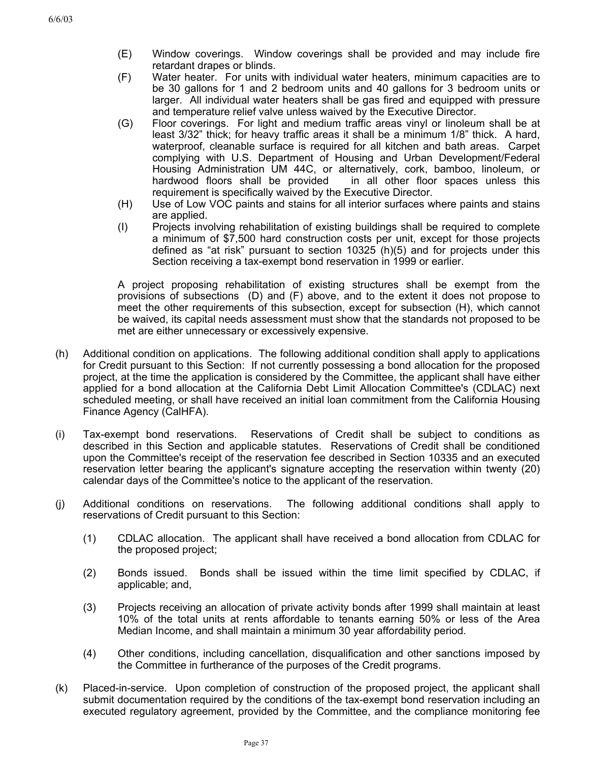- (E) Window coverings. Window coverings shall be provided and may include fire retardant drapes or blinds.
- (F) Water heater. For units with individual water heaters, minimum capacities are to be 30 gallons for 1 and 2 bedroom units and 40 gallons for 3 bedroom units or larger. All individual water heaters shall be gas fired and equipped with pressure and temperature relief valve unless waived by the Executive Director.
- (G) Floor coverings. For light and medium traffic areas vinyl or linoleum shall be at least 3/32" thick; for heavy traffic areas it shall be a minimum 1/8" thick. A hard, waterproof, cleanable surface is required for all kitchen and bath areas. Carpet complying with U.S. Department of Housing and Urban Development/Federal Housing Administration UM 44C, or alternatively, cork, bamboo, linoleum, or hardwood floors shall be provided in all other floor spaces unless this requirement is specifically waived by the Executive Director.
- (H) Use of Low VOC paints and stains for all interior surfaces where paints and stains are applied.
- (I) Projects involving rehabilitation of existing buildings shall be required to complete a minimum of \$7,500 hard construction costs per unit, except for those projects defined as "at risk" pursuant to section 10325 (h)(5) and for projects under this Section receiving a tax-exempt bond reservation in 1999 or earlier.

A project proposing rehabilitation of existing structures shall be exempt from the provisions of subsections (D) and (F) above, and to the extent it does not propose to meet the other requirements of this subsection, except for subsection (H), which cannot be waived, its capital needs assessment must show that the standards not proposed to be met are either unnecessary or excessively expensive.

- (h) Additional condition on applications. The following additional condition shall apply to applications for Credit pursuant to this Section: If not currently possessing a bond allocation for the proposed project, at the time the application is considered by the Committee, the applicant shall have either applied for a bond allocation at the California Debt Limit Allocation Committee's (CDLAC) next scheduled meeting, or shall have received an initial loan commitment from the California Housing Finance Agency (CalHFA).
- (i) Tax-exempt bond reservations. Reservations of Credit shall be subject to conditions as described in this Section and applicable statutes. Reservations of Credit shall be conditioned upon the Committee's receipt of the reservation fee described in Section 10335 and an executed reservation letter bearing the applicant's signature accepting the reservation within twenty (20) calendar days of the Committee's notice to the applicant of the reservation.
- (j) Additional conditions on reservations. The following additional conditions shall apply to reservations of Credit pursuant to this Section:
	- (1) CDLAC allocation. The applicant shall have received a bond allocation from CDLAC for the proposed project;
	- (2) Bonds issued. Bonds shall be issued within the time limit specified by CDLAC, if applicable; and,
	- (3) Projects receiving an allocation of private activity bonds after 1999 shall maintain at least 10% of the total units at rents affordable to tenants earning 50% or less of the Area Median Income, and shall maintain a minimum 30 year affordability period.
	- (4) Other conditions, including cancellation, disqualification and other sanctions imposed by the Committee in furtherance of the purposes of the Credit programs.
- (k) Placed-in-service. Upon completion of construction of the proposed project, the applicant shall submit documentation required by the conditions of the tax-exempt bond reservation including an executed regulatory agreement, provided by the Committee, and the compliance monitoring fee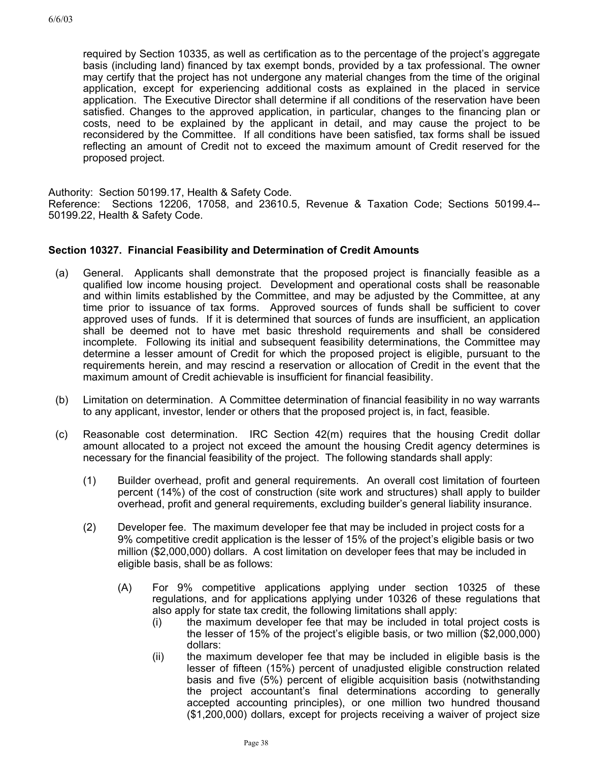required by Section 10335, as well as certification as to the percentage of the project's aggregate basis (including land) financed by tax exempt bonds, provided by a tax professional. The owner may certify that the project has not undergone any material changes from the time of the original application, except for experiencing additional costs as explained in the placed in service application.The Executive Director shall determine if all conditions of the reservation have been satisfied. Changes to the approved application, in particular, changes to the financing plan or costs, need to be explained by the applicant in detail, and may cause the project to be reconsidered by the Committee. If all conditions have been satisfied, tax forms shall be issued reflecting an amount of Credit not to exceed the maximum amount of Credit reserved for the proposed project.

Authority: Section 50199.17, Health & Safety Code.

Reference: Sections 12206, 17058, and 23610.5, Revenue & Taxation Code; Sections 50199.4-- 50199.22, Health & Safety Code.

# **Section 10327. Financial Feasibility and Determination of Credit Amounts**

- (a) General. Applicants shall demonstrate that the proposed project is financially feasible as a qualified low income housing project. Development and operational costs shall be reasonable and within limits established by the Committee, and may be adjusted by the Committee, at any time prior to issuance of tax forms. Approved sources of funds shall be sufficient to cover approved uses of funds. If it is determined that sources of funds are insufficient, an application shall be deemed not to have met basic threshold requirements and shall be considered incomplete. Following its initial and subsequent feasibility determinations, the Committee may determine a lesser amount of Credit for which the proposed project is eligible, pursuant to the requirements herein, and may rescind a reservation or allocation of Credit in the event that the maximum amount of Credit achievable is insufficient for financial feasibility.
- (b) Limitation on determination. A Committee determination of financial feasibility in no way warrants to any applicant, investor, lender or others that the proposed project is, in fact, feasible.
- (c) Reasonable cost determination. IRC Section 42(m) requires that the housing Credit dollar amount allocated to a project not exceed the amount the housing Credit agency determines is necessary for the financial feasibility of the project. The following standards shall apply:
	- (1) Builder overhead, profit and general requirements. An overall cost limitation of fourteen percent (14%) of the cost of construction (site work and structures) shall apply to builder overhead, profit and general requirements, excluding builder's general liability insurance.
	- (2) Developer fee. The maximum developer fee that may be included in project costs for a 9% competitive credit application is the lesser of 15% of the project's eligible basis or two million (\$2,000,000) dollars. A cost limitation on developer fees that may be included in eligible basis, shall be as follows:
		- (A) For 9% competitive applications applying under section 10325 of these regulations, and for applications applying under 10326 of these regulations that also apply for state tax credit, the following limitations shall apply:
			- (i) the maximum developer fee that may be included in total project costs is the lesser of 15% of the project's eligible basis, or two million (\$2,000,000) dollars:
			- (ii) the maximum developer fee that may be included in eligible basis is the lesser of fifteen (15%) percent of unadjusted eligible construction related basis and five (5%) percent of eligible acquisition basis (notwithstanding the project accountant's final determinations according to generally accepted accounting principles), or one million two hundred thousand (\$1,200,000) dollars, except for projects receiving a waiver of project size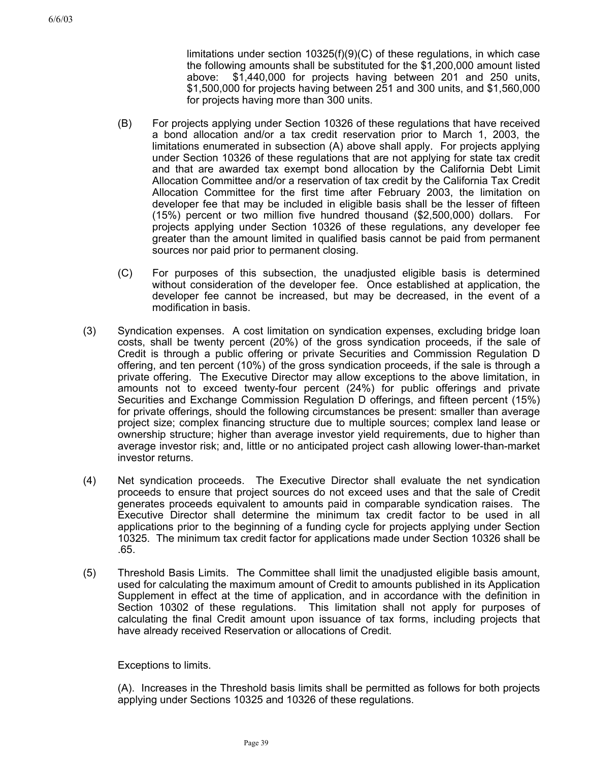limitations under section 10325(f)(9)(C) of these regulations, in which case the following amounts shall be substituted for the \$1,200,000 amount listed above: \$1,440,000 for projects having between 201 and 250 units, \$1,500,000 for projects having between 251 and 300 units, and \$1,560,000 for projects having more than 300 units.

- (B) For projects applying under Section 10326 of these regulations that have received a bond allocation and/or a tax credit reservation prior to March 1, 2003, the limitations enumerated in subsection (A) above shall apply. For projects applying under Section 10326 of these regulations that are not applying for state tax credit and that are awarded tax exempt bond allocation by the California Debt Limit Allocation Committee and/or a reservation of tax credit by the California Tax Credit Allocation Committee for the first time after February 2003, the limitation on developer fee that may be included in eligible basis shall be the lesser of fifteen (15%) percent or two million five hundred thousand (\$2,500,000) dollars. For projects applying under Section 10326 of these regulations, any developer fee greater than the amount limited in qualified basis cannot be paid from permanent sources nor paid prior to permanent closing.
- (C) For purposes of this subsection, the unadjusted eligible basis is determined without consideration of the developer fee. Once established at application, the developer fee cannot be increased, but may be decreased, in the event of a modification in basis.
- (3) Syndication expenses. A cost limitation on syndication expenses, excluding bridge loan costs, shall be twenty percent (20%) of the gross syndication proceeds, if the sale of Credit is through a public offering or private Securities and Commission Regulation D offering, and ten percent (10%) of the gross syndication proceeds, if the sale is through a private offering. The Executive Director may allow exceptions to the above limitation, in amounts not to exceed twenty-four percent (24%) for public offerings and private Securities and Exchange Commission Regulation D offerings, and fifteen percent (15%) for private offerings, should the following circumstances be present: smaller than average project size; complex financing structure due to multiple sources; complex land lease or ownership structure; higher than average investor yield requirements, due to higher than average investor risk; and, little or no anticipated project cash allowing lower-than-market investor returns.
- (4) Net syndication proceeds. The Executive Director shall evaluate the net syndication proceeds to ensure that project sources do not exceed uses and that the sale of Credit generates proceeds equivalent to amounts paid in comparable syndication raises. The Executive Director shall determine the minimum tax credit factor to be used in all applications prior to the beginning of a funding cycle for projects applying under Section 10325. The minimum tax credit factor for applications made under Section 10326 shall be .65.
- (5) Threshold Basis Limits. The Committee shall limit the unadjusted eligible basis amount, used for calculating the maximum amount of Credit to amounts published in its Application Supplement in effect at the time of application, and in accordance with the definition in Section 10302 of these regulations. This limitation shall not apply for purposes of calculating the final Credit amount upon issuance of tax forms, including projects that have already received Reservation or allocations of Credit.

Exceptions to limits.

(A). Increases in the Threshold basis limits shall be permitted as follows for both projects applying under Sections 10325 and 10326 of these regulations.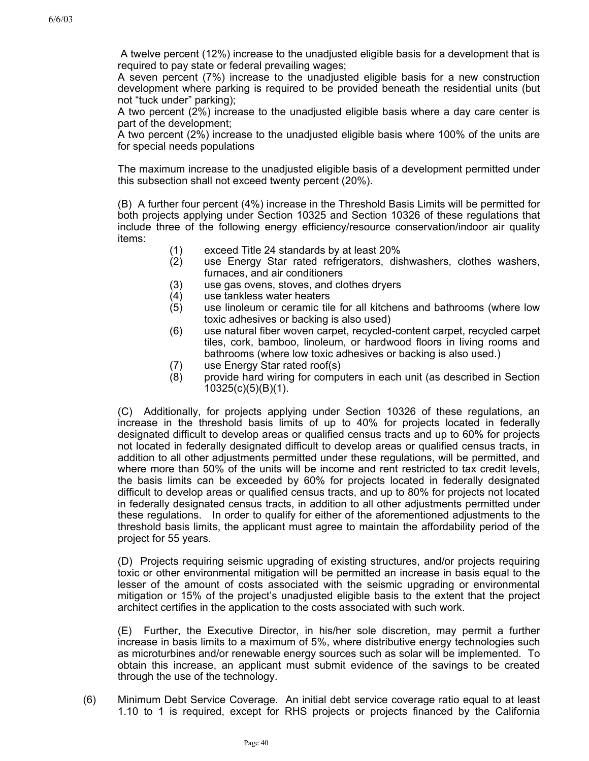A twelve percent (12%) increase to the unadjusted eligible basis for a development that is required to pay state or federal prevailing wages;

A seven percent (7%) increase to the unadjusted eligible basis for a new construction development where parking is required to be provided beneath the residential units (but not "tuck under" parking);

A two percent (2%) increase to the unadjusted eligible basis where a day care center is part of the development;

A two percent (2%) increase to the unadjusted eligible basis where 100% of the units are for special needs populations

The maximum increase to the unadjusted eligible basis of a development permitted under this subsection shall not exceed twenty percent (20%).

(B) A further four percent (4%) increase in the Threshold Basis Limits will be permitted for both projects applying under Section 10325 and Section 10326 of these regulations that include three of the following energy efficiency/resource conservation/indoor air quality items:

- (1) exceed Title 24 standards by at least 20%
- (2) use Energy Star rated refrigerators, dishwashers, clothes washers, furnaces, and air conditioners
- (3) use gas ovens, stoves, and clothes dryers
- (4) use tankless water heaters
- (5) use linoleum or ceramic tile for all kitchens and bathrooms (where low toxic adhesives or backing is also used)
- (6) use natural fiber woven carpet, recycled-content carpet, recycled carpet tiles, cork, bamboo, linoleum, or hardwood floors in living rooms and bathrooms (where low toxic adhesives or backing is also used.)
- (7) use Energy Star rated roof(s)
- (8) provide hard wiring for computers in each unit (as described in Section 10325(c)(5)(B)(1).

(C) Additionally, for projects applying under Section 10326 of these regulations, an increase in the threshold basis limits of up to 40% for projects located in federally designated difficult to develop areas or qualified census tracts and up to 60% for projects not located in federally designated difficult to develop areas or qualified census tracts, in addition to all other adjustments permitted under these regulations, will be permitted, and where more than 50% of the units will be income and rent restricted to tax credit levels, the basis limits can be exceeded by 60% for projects located in federally designated difficult to develop areas or qualified census tracts, and up to 80% for projects not located in federally designated census tracts, in addition to all other adjustments permitted under these regulations. In order to qualify for either of the aforementioned adjustments to the threshold basis limits, the applicant must agree to maintain the affordability period of the project for 55 years.

(D) Projects requiring seismic upgrading of existing structures, and/or projects requiring toxic or other environmental mitigation will be permitted an increase in basis equal to the lesser of the amount of costs associated with the seismic upgrading or environmental mitigation or 15% of the project's unadjusted eligible basis to the extent that the project architect certifies in the application to the costs associated with such work.

(E) Further, the Executive Director, in his/her sole discretion, may permit a further increase in basis limits to a maximum of 5%, where distributive energy technologies such as microturbines and/or renewable energy sources such as solar will be implemented. To obtain this increase, an applicant must submit evidence of the savings to be created through the use of the technology.

(6) Minimum Debt Service Coverage. An initial debt service coverage ratio equal to at least 1.10 to 1 is required, except for RHS projects or projects financed by the California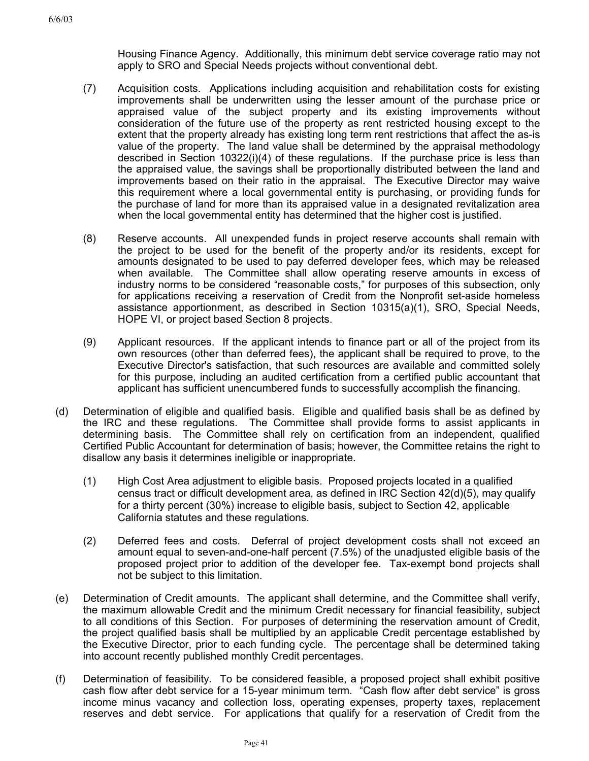Housing Finance Agency. Additionally, this minimum debt service coverage ratio may not apply to SRO and Special Needs projects without conventional debt.

- (7) Acquisition costs. Applications including acquisition and rehabilitation costs for existing improvements shall be underwritten using the lesser amount of the purchase price or appraised value of the subject property and its existing improvements without consideration of the future use of the property as rent restricted housing except to the extent that the property already has existing long term rent restrictions that affect the as-is value of the property. The land value shall be determined by the appraisal methodology described in Section 10322(i)(4) of these regulations. If the purchase price is less than the appraised value, the savings shall be proportionally distributed between the land and improvements based on their ratio in the appraisal. The Executive Director may waive this requirement where a local governmental entity is purchasing, or providing funds for the purchase of land for more than its appraised value in a designated revitalization area when the local governmental entity has determined that the higher cost is justified.
- (8) Reserve accounts. All unexpended funds in project reserve accounts shall remain with the project to be used for the benefit of the property and/or its residents, except for amounts designated to be used to pay deferred developer fees, which may be released when available. The Committee shall allow operating reserve amounts in excess of industry norms to be considered "reasonable costs," for purposes of this subsection, only for applications receiving a reservation of Credit from the Nonprofit set-aside homeless assistance apportionment, as described in Section 10315(a)(1), SRO, Special Needs, HOPE VI, or project based Section 8 projects.
- (9) Applicant resources. If the applicant intends to finance part or all of the project from its own resources (other than deferred fees), the applicant shall be required to prove, to the Executive Director's satisfaction, that such resources are available and committed solely for this purpose, including an audited certification from a certified public accountant that applicant has sufficient unencumbered funds to successfully accomplish the financing.
- (d) Determination of eligible and qualified basis. Eligible and qualified basis shall be as defined by the IRC and these regulations. The Committee shall provide forms to assist applicants in determining basis. The Committee shall rely on certification from an independent, qualified Certified Public Accountant for determination of basis; however, the Committee retains the right to disallow any basis it determines ineligible or inappropriate.
	- (1) High Cost Area adjustment to eligible basis. Proposed projects located in a qualified census tract or difficult development area, as defined in IRC Section 42(d)(5), may qualify for a thirty percent (30%) increase to eligible basis, subject to Section 42, applicable California statutes and these regulations.
	- (2) Deferred fees and costs. Deferral of project development costs shall not exceed an amount equal to seven-and-one-half percent (7.5%) of the unadjusted eligible basis of the proposed project prior to addition of the developer fee. Tax-exempt bond projects shall not be subject to this limitation.
- (e) Determination of Credit amounts. The applicant shall determine, and the Committee shall verify, the maximum allowable Credit and the minimum Credit necessary for financial feasibility, subject to all conditions of this Section. For purposes of determining the reservation amount of Credit, the project qualified basis shall be multiplied by an applicable Credit percentage established by the Executive Director, prior to each funding cycle. The percentage shall be determined taking into account recently published monthly Credit percentages.
- (f) Determination of feasibility. To be considered feasible, a proposed project shall exhibit positive cash flow after debt service for a 15-year minimum term. "Cash flow after debt service" is gross income minus vacancy and collection loss, operating expenses, property taxes, replacement reserves and debt service. For applications that qualify for a reservation of Credit from the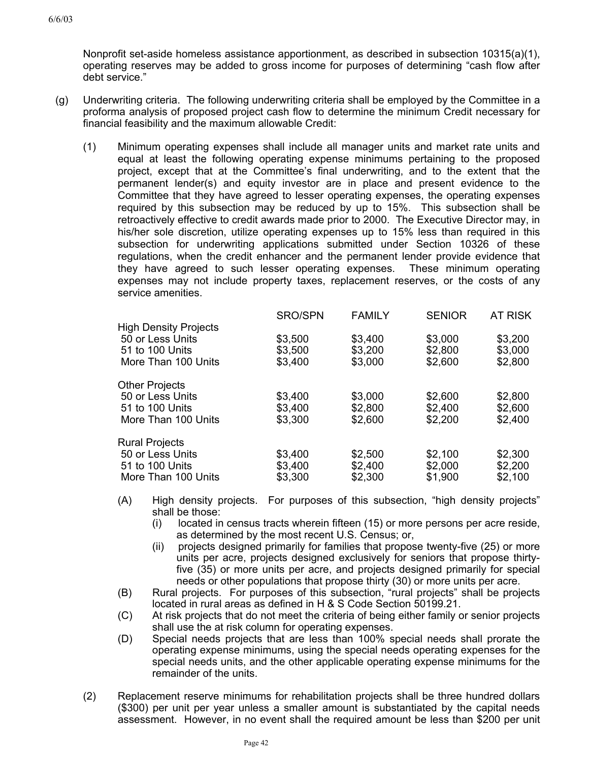Nonprofit set-aside homeless assistance apportionment, as described in subsection 10315(a)(1), operating reserves may be added to gross income for purposes of determining "cash flow after debt service."

- (g) Underwriting criteria. The following underwriting criteria shall be employed by the Committee in a proforma analysis of proposed project cash flow to determine the minimum Credit necessary for financial feasibility and the maximum allowable Credit:
	- (1) Minimum operating expenses shall include all manager units and market rate units and equal at least the following operating expense minimums pertaining to the proposed project, except that at the Committee's final underwriting, and to the extent that the permanent lender(s) and equity investor are in place and present evidence to the Committee that they have agreed to lesser operating expenses, the operating expenses required by this subsection may be reduced by up to 15%. This subsection shall be retroactively effective to credit awards made prior to 2000. The Executive Director may, in his/her sole discretion, utilize operating expenses up to 15% less than required in this subsection for underwriting applications submitted under Section 10326 of these regulations, when the credit enhancer and the permanent lender provide evidence that they have agreed to such lesser operating expenses. These minimum operating expenses may not include property taxes, replacement reserves, or the costs of any service amenities.

| <b>SRO/SPN</b> | <b>FAMILY</b> | <b>SENIOR</b> | <b>AT RISK</b> |
|----------------|---------------|---------------|----------------|
|                |               |               |                |
| \$3,500        | \$3,400       | \$3,000       | \$3,200        |
| \$3,500        | \$3,200       | \$2,800       | \$3,000        |
| \$3,400        | \$3,000       | \$2,600       | \$2,800        |
|                |               |               |                |
| \$3,400        | \$3,000       | \$2,600       | \$2,800        |
| \$3,400        | \$2,800       | \$2,400       | \$2,600        |
| \$3,300        | \$2,600       | \$2,200       | \$2,400        |
|                |               |               |                |
| \$3,400        | \$2,500       | \$2,100       | \$2,300        |
| \$3,400        | \$2,400       | \$2,000       | \$2,200        |
| \$3,300        | \$2,300       | \$1,900       | \$2,100        |
|                |               |               |                |

- (A) High density projects. For purposes of this subsection, "high density projects" shall be those:
	- (i) located in census tracts wherein fifteen (15) or more persons per acre reside, as determined by the most recent U.S. Census; or,
	- (ii) projects designed primarily for families that propose twenty-five (25) or more units per acre, projects designed exclusively for seniors that propose thirtyfive (35) or more units per acre, and projects designed primarily for special needs or other populations that propose thirty (30) or more units per acre.
- (B) Rural projects. For purposes of this subsection, "rural projects" shall be projects located in rural areas as defined in H & S Code Section 50199.21.
- (C) At risk projects that do not meet the criteria of being either family or senior projects shall use the at risk column for operating expenses.
- (D) Special needs projects that are less than 100% special needs shall prorate the operating expense minimums, using the special needs operating expenses for the special needs units, and the other applicable operating expense minimums for the remainder of the units.
- (2) Replacement reserve minimums for rehabilitation projects shall be three hundred dollars (\$300) per unit per year unless a smaller amount is substantiated by the capital needs assessment. However, in no event shall the required amount be less than \$200 per unit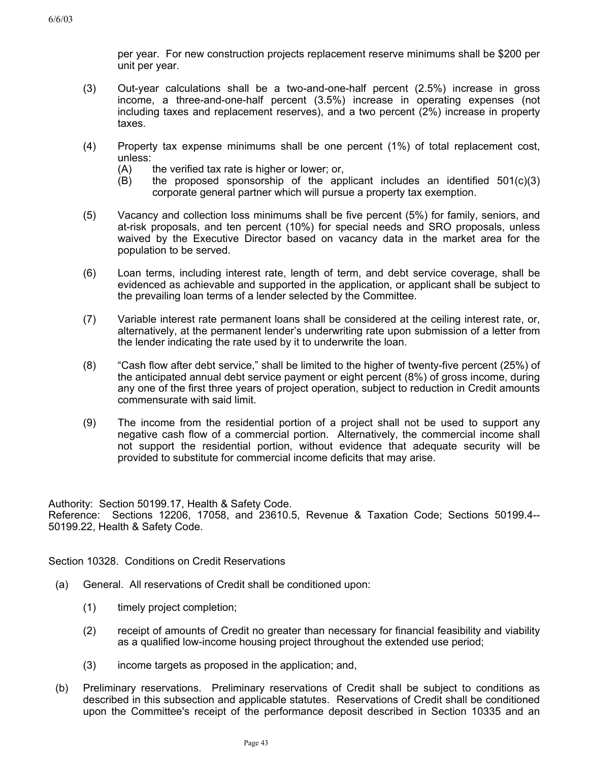per year. For new construction projects replacement reserve minimums shall be \$200 per unit per year.

- (3) Out-year calculations shall be a two-and-one-half percent (2.5%) increase in gross income, a three-and-one-half percent (3.5%) increase in operating expenses (not including taxes and replacement reserves), and a two percent (2%) increase in property taxes.
- (4) Property tax expense minimums shall be one percent (1%) of total replacement cost, unless:
	- (A) the verified tax rate is higher or lower; or,
	- $(B)$  the proposed sponsorship of the applicant includes an identified  $501(c)(3)$ corporate general partner which will pursue a property tax exemption.
- (5) Vacancy and collection loss minimums shall be five percent (5%) for family, seniors, and at-risk proposals, and ten percent (10%) for special needs and SRO proposals, unless waived by the Executive Director based on vacancy data in the market area for the population to be served.
- (6) Loan terms, including interest rate, length of term, and debt service coverage, shall be evidenced as achievable and supported in the application, or applicant shall be subject to the prevailing loan terms of a lender selected by the Committee.
- (7) Variable interest rate permanent loans shall be considered at the ceiling interest rate, or, alternatively, at the permanent lender's underwriting rate upon submission of a letter from the lender indicating the rate used by it to underwrite the loan.
- (8) "Cash flow after debt service," shall be limited to the higher of twenty-five percent (25%) of the anticipated annual debt service payment or eight percent (8%) of gross income, during any one of the first three years of project operation, subject to reduction in Credit amounts commensurate with said limit.
- (9) The income from the residential portion of a project shall not be used to support any negative cash flow of a commercial portion. Alternatively, the commercial income shall not support the residential portion, without evidence that adequate security will be provided to substitute for commercial income deficits that may arise.

Authority: Section 50199.17, Health & Safety Code.

Reference: Sections 12206, 17058, and 23610.5, Revenue & Taxation Code; Sections 50199.4-- 50199.22, Health & Safety Code.

Section 10328. Conditions on Credit Reservations

- (a) General. All reservations of Credit shall be conditioned upon:
	- (1) timely project completion;
	- (2) receipt of amounts of Credit no greater than necessary for financial feasibility and viability as a qualified low-income housing project throughout the extended use period;
	- (3) income targets as proposed in the application; and,
- (b) Preliminary reservations. Preliminary reservations of Credit shall be subject to conditions as described in this subsection and applicable statutes. Reservations of Credit shall be conditioned upon the Committee's receipt of the performance deposit described in Section 10335 and an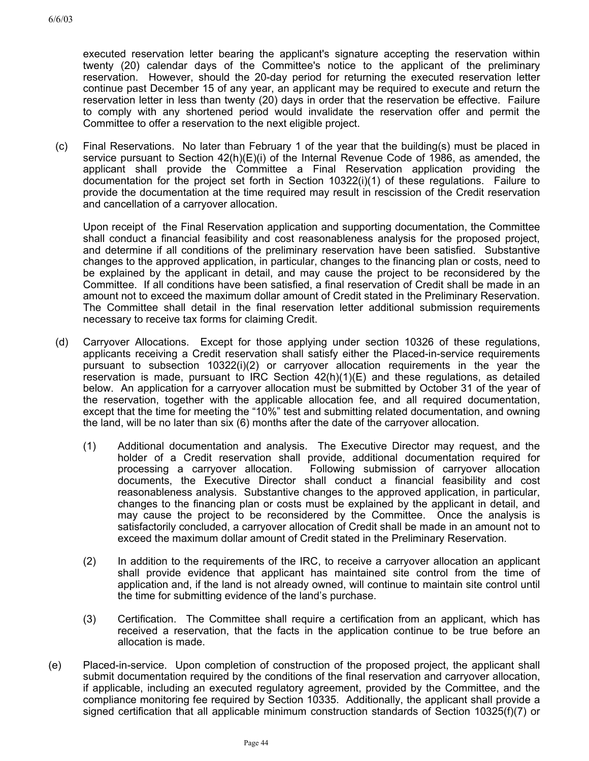executed reservation letter bearing the applicant's signature accepting the reservation within twenty (20) calendar days of the Committee's notice to the applicant of the preliminary reservation. However, should the 20-day period for returning the executed reservation letter continue past December 15 of any year, an applicant may be required to execute and return the reservation letter in less than twenty (20) days in order that the reservation be effective. Failure to comply with any shortened period would invalidate the reservation offer and permit the Committee to offer a reservation to the next eligible project.

(c) Final Reservations. No later than February 1 of the year that the building(s) must be placed in service pursuant to Section 42(h)(E)(i) of the Internal Revenue Code of 1986, as amended, the applicant shall provide the Committee a Final Reservation application providing the documentation for the project set forth in Section 10322(i)(1) of these regulations. Failure to provide the documentation at the time required may result in rescission of the Credit reservation and cancellation of a carryover allocation.

Upon receipt of the Final Reservation application and supporting documentation, the Committee shall conduct a financial feasibility and cost reasonableness analysis for the proposed project, and determine if all conditions of the preliminary reservation have been satisfied. Substantive changes to the approved application, in particular, changes to the financing plan or costs, need to be explained by the applicant in detail, and may cause the project to be reconsidered by the Committee. If all conditions have been satisfied, a final reservation of Credit shall be made in an amount not to exceed the maximum dollar amount of Credit stated in the Preliminary Reservation. The Committee shall detail in the final reservation letter additional submission requirements necessary to receive tax forms for claiming Credit.

- (d) Carryover Allocations. Except for those applying under section 10326 of these regulations, applicants receiving a Credit reservation shall satisfy either the Placed-in-service requirements pursuant to subsection 10322(i)(2) or carryover allocation requirements in the year the reservation is made, pursuant to IRC Section  $42(h)(1)(E)$  and these regulations, as detailed below. An application for a carryover allocation must be submitted by October 31 of the year of the reservation, together with the applicable allocation fee, and all required documentation, except that the time for meeting the "10%" test and submitting related documentation, and owning the land, will be no later than six (6) months after the date of the carryover allocation.
	- (1) Additional documentation and analysis. The Executive Director may request, and the holder of a Credit reservation shall provide, additional documentation required for processing a carryover allocation. Following submission of carryover allocation documents, the Executive Director shall conduct a financial feasibility and cost reasonableness analysis. Substantive changes to the approved application, in particular, changes to the financing plan or costs must be explained by the applicant in detail, and may cause the project to be reconsidered by the Committee. Once the analysis is satisfactorily concluded, a carryover allocation of Credit shall be made in an amount not to exceed the maximum dollar amount of Credit stated in the Preliminary Reservation.
	- (2) In addition to the requirements of the IRC, to receive a carryover allocation an applicant shall provide evidence that applicant has maintained site control from the time of application and, if the land is not already owned, will continue to maintain site control until the time for submitting evidence of the land's purchase.
	- (3) Certification. The Committee shall require a certification from an applicant, which has received a reservation, that the facts in the application continue to be true before an allocation is made.
- (e) Placed-in-service. Upon completion of construction of the proposed project, the applicant shall submit documentation required by the conditions of the final reservation and carryover allocation, if applicable, including an executed regulatory agreement, provided by the Committee, and the compliance monitoring fee required by Section 10335. Additionally, the applicant shall provide a signed certification that all applicable minimum construction standards of Section 10325(f)(7) or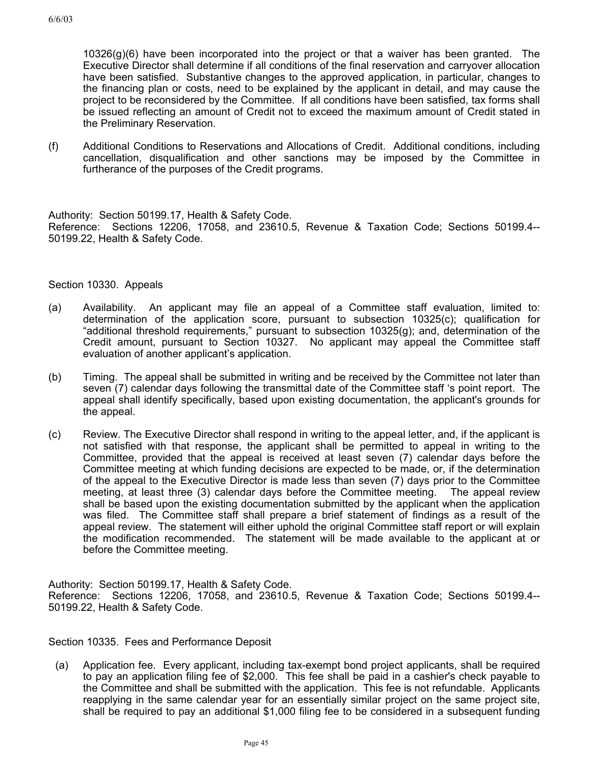$10326(q)(6)$  have been incorporated into the project or that a waiver has been granted. The Executive Director shall determine if all conditions of the final reservation and carryover allocation have been satisfied. Substantive changes to the approved application, in particular, changes to the financing plan or costs, need to be explained by the applicant in detail, and may cause the project to be reconsidered by the Committee. If all conditions have been satisfied, tax forms shall be issued reflecting an amount of Credit not to exceed the maximum amount of Credit stated in the Preliminary Reservation.

(f) Additional Conditions to Reservations and Allocations of Credit. Additional conditions, including cancellation, disqualification and other sanctions may be imposed by the Committee in furtherance of the purposes of the Credit programs.

Authority: Section 50199.17, Health & Safety Code.

Reference: Sections 12206, 17058, and 23610.5, Revenue & Taxation Code; Sections 50199.4-- 50199.22, Health & Safety Code.

### Section 10330. Appeals

- (a) Availability. An applicant may file an appeal of a Committee staff evaluation, limited to: determination of the application score, pursuant to subsection 10325(c); qualification for "additional threshold requirements," pursuant to subsection 10325(g); and, determination of the Credit amount, pursuant to Section 10327. No applicant may appeal the Committee staff evaluation of another applicant's application.
- (b) Timing. The appeal shall be submitted in writing and be received by the Committee not later than seven (7) calendar days following the transmittal date of the Committee staff 's point report. The appeal shall identify specifically, based upon existing documentation, the applicant's grounds for the appeal.
- (c) Review. The Executive Director shall respond in writing to the appeal letter, and, if the applicant is not satisfied with that response, the applicant shall be permitted to appeal in writing to the Committee, provided that the appeal is received at least seven (7) calendar days before the Committee meeting at which funding decisions are expected to be made, or, if the determination of the appeal to the Executive Director is made less than seven (7) days prior to the Committee meeting, at least three (3) calendar days before the Committee meeting. The appeal review shall be based upon the existing documentation submitted by the applicant when the application was filed. The Committee staff shall prepare a brief statement of findings as a result of the appeal review. The statement will either uphold the original Committee staff report or will explain the modification recommended. The statement will be made available to the applicant at or before the Committee meeting.

Authority: Section 50199.17, Health & Safety Code. Reference: Sections 12206, 17058, and 23610.5, Revenue & Taxation Code; Sections 50199.4-- 50199.22, Health & Safety Code.

Section 10335. Fees and Performance Deposit

(a) Application fee. Every applicant, including tax-exempt bond project applicants, shall be required to pay an application filing fee of \$2,000. This fee shall be paid in a cashier's check payable to the Committee and shall be submitted with the application. This fee is not refundable. Applicants reapplying in the same calendar year for an essentially similar project on the same project site, shall be required to pay an additional \$1,000 filing fee to be considered in a subsequent funding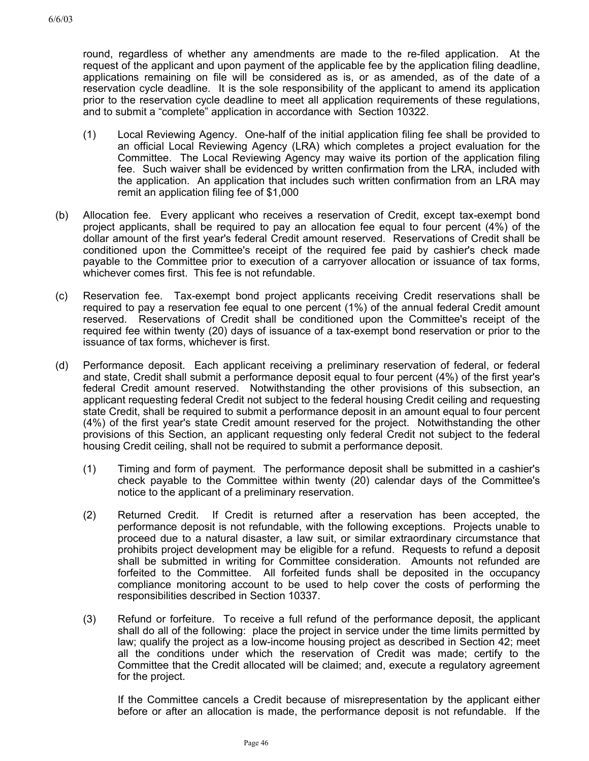round, regardless of whether any amendments are made to the re-filed application. At the request of the applicant and upon payment of the applicable fee by the application filing deadline, applications remaining on file will be considered as is, or as amended, as of the date of a reservation cycle deadline. It is the sole responsibility of the applicant to amend its application prior to the reservation cycle deadline to meet all application requirements of these regulations, and to submit a "complete" application in accordance with Section 10322.

- (1) Local Reviewing Agency. One-half of the initial application filing fee shall be provided to an official Local Reviewing Agency (LRA) which completes a project evaluation for the Committee. The Local Reviewing Agency may waive its portion of the application filing fee. Such waiver shall be evidenced by written confirmation from the LRA, included with the application. An application that includes such written confirmation from an LRA may remit an application filing fee of \$1,000
- (b) Allocation fee. Every applicant who receives a reservation of Credit, except tax-exempt bond project applicants, shall be required to pay an allocation fee equal to four percent (4%) of the dollar amount of the first year's federal Credit amount reserved. Reservations of Credit shall be conditioned upon the Committee's receipt of the required fee paid by cashier's check made payable to the Committee prior to execution of a carryover allocation or issuance of tax forms, whichever comes first. This fee is not refundable.
- (c) Reservation fee. Tax-exempt bond project applicants receiving Credit reservations shall be required to pay a reservation fee equal to one percent (1%) of the annual federal Credit amount reserved. Reservations of Credit shall be conditioned upon the Committee's receipt of the required fee within twenty (20) days of issuance of a tax-exempt bond reservation or prior to the issuance of tax forms, whichever is first.
- (d) Performance deposit. Each applicant receiving a preliminary reservation of federal, or federal and state, Credit shall submit a performance deposit equal to four percent (4%) of the first year's federal Credit amount reserved. Notwithstanding the other provisions of this subsection, an applicant requesting federal Credit not subject to the federal housing Credit ceiling and requesting state Credit, shall be required to submit a performance deposit in an amount equal to four percent (4%) of the first year's state Credit amount reserved for the project. Notwithstanding the other provisions of this Section, an applicant requesting only federal Credit not subject to the federal housing Credit ceiling, shall not be required to submit a performance deposit.
	- (1) Timing and form of payment. The performance deposit shall be submitted in a cashier's check payable to the Committee within twenty (20) calendar days of the Committee's notice to the applicant of a preliminary reservation.
	- (2) Returned Credit. If Credit is returned after a reservation has been accepted, the performance deposit is not refundable, with the following exceptions. Projects unable to proceed due to a natural disaster, a law suit, or similar extraordinary circumstance that prohibits project development may be eligible for a refund. Requests to refund a deposit shall be submitted in writing for Committee consideration. Amounts not refunded are forfeited to the Committee. All forfeited funds shall be deposited in the occupancy compliance monitoring account to be used to help cover the costs of performing the responsibilities described in Section 10337.
	- (3) Refund or forfeiture. To receive a full refund of the performance deposit, the applicant shall do all of the following: place the project in service under the time limits permitted by law; qualify the project as a low-income housing project as described in Section 42; meet all the conditions under which the reservation of Credit was made; certify to the Committee that the Credit allocated will be claimed; and, execute a regulatory agreement for the project.

If the Committee cancels a Credit because of misrepresentation by the applicant either before or after an allocation is made, the performance deposit is not refundable. If the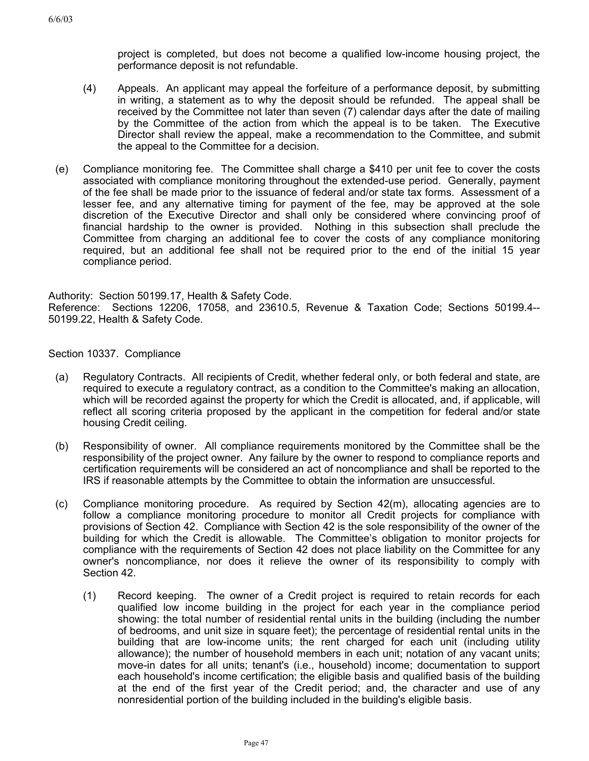project is completed, but does not become a qualified low-income housing project, the performance deposit is not refundable.

- (4) Appeals. An applicant may appeal the forfeiture of a performance deposit, by submitting in writing, a statement as to why the deposit should be refunded. The appeal shall be received by the Committee not later than seven (7) calendar days after the date of mailing by the Committee of the action from which the appeal is to be taken. The Executive Director shall review the appeal, make a recommendation to the Committee, and submit the appeal to the Committee for a decision.
- (e) Compliance monitoring fee. The Committee shall charge a \$410 per unit fee to cover the costs associated with compliance monitoring throughout the extended-use period. Generally, payment of the fee shall be made prior to the issuance of federal and/or state tax forms. Assessment of a lesser fee, and any alternative timing for payment of the fee, may be approved at the sole discretion of the Executive Director and shall only be considered where convincing proof of financial hardship to the owner is provided. Nothing in this subsection shall preclude the Committee from charging an additional fee to cover the costs of any compliance monitoring required, but an additional fee shall not be required prior to the end of the initial 15 year compliance period.

Authority: Section 50199.17, Health & Safety Code. Reference: Sections 12206, 17058, and 23610.5, Revenue & Taxation Code; Sections 50199.4-- 50199.22, Health & Safety Code.

Section 10337. Compliance

- (a) Regulatory Contracts. All recipients of Credit, whether federal only, or both federal and state, are required to execute a regulatory contract, as a condition to the Committee's making an allocation, which will be recorded against the property for which the Credit is allocated, and, if applicable, will reflect all scoring criteria proposed by the applicant in the competition for federal and/or state housing Credit ceiling.
- (b) Responsibility of owner. All compliance requirements monitored by the Committee shall be the responsibility of the project owner. Any failure by the owner to respond to compliance reports and certification requirements will be considered an act of noncompliance and shall be reported to the IRS if reasonable attempts by the Committee to obtain the information are unsuccessful.
- (c) Compliance monitoring procedure. As required by Section 42(m), allocating agencies are to follow a compliance monitoring procedure to monitor all Credit projects for compliance with provisions of Section 42. Compliance with Section 42 is the sole responsibility of the owner of the building for which the Credit is allowable. The Committee's obligation to monitor projects for compliance with the requirements of Section 42 does not place liability on the Committee for any owner's noncompliance, nor does it relieve the owner of its responsibility to comply with Section 42.
	- (1) Record keeping. The owner of a Credit project is required to retain records for each qualified low income building in the project for each year in the compliance period showing: the total number of residential rental units in the building (including the number of bedrooms, and unit size in square feet); the percentage of residential rental units in the building that are low-income units; the rent charged for each unit (including utility allowance); the number of household members in each unit; notation of any vacant units; move-in dates for all units; tenant's (i.e., household) income; documentation to support each household's income certification; the eligible basis and qualified basis of the building at the end of the first year of the Credit period; and, the character and use of any nonresidential portion of the building included in the building's eligible basis.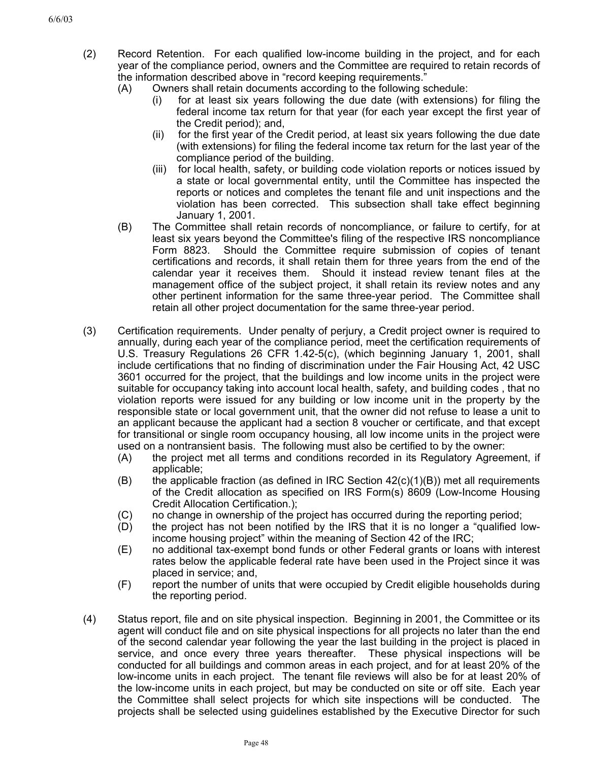- (2) Record Retention. For each qualified low-income building in the project, and for each year of the compliance period, owners and the Committee are required to retain records of the information described above in "record keeping requirements."
	- (A) Owners shall retain documents according to the following schedule:
		- (i) for at least six years following the due date (with extensions) for filing the federal income tax return for that year (for each year except the first year of the Credit period); and,
		- (ii) for the first year of the Credit period, at least six years following the due date (with extensions) for filing the federal income tax return for the last year of the compliance period of the building.
		- (iii) for local health, safety, or building code violation reports or notices issued by a state or local governmental entity, until the Committee has inspected the reports or notices and completes the tenant file and unit inspections and the violation has been corrected. This subsection shall take effect beginning January 1, 2001.
	- (B) The Committee shall retain records of noncompliance, or failure to certify, for at least six years beyond the Committee's filing of the respective IRS noncompliance Form 8823. Should the Committee require submission of copies of tenant certifications and records, it shall retain them for three years from the end of the calendar year it receives them. Should it instead review tenant files at the management office of the subject project, it shall retain its review notes and any other pertinent information for the same three-year period. The Committee shall retain all other project documentation for the same three-year period.
- (3) Certification requirements. Under penalty of perjury, a Credit project owner is required to annually, during each year of the compliance period, meet the certification requirements of U.S. Treasury Regulations 26 CFR 1.42-5(c), (which beginning January 1, 2001, shall include certifications that no finding of discrimination under the Fair Housing Act, 42 USC 3601 occurred for the project, that the buildings and low income units in the project were suitable for occupancy taking into account local health, safety, and building codes , that no violation reports were issued for any building or low income unit in the property by the responsible state or local government unit, that the owner did not refuse to lease a unit to an applicant because the applicant had a section 8 voucher or certificate, and that except for transitional or single room occupancy housing, all low income units in the project were used on a nontransient basis. The following must also be certified to by the owner:
	- (A) the project met all terms and conditions recorded in its Regulatory Agreement, if applicable;
	- (B) the applicable fraction (as defined in IRC Section  $42(c)(1)(B)$ ) met all requirements of the Credit allocation as specified on IRS Form(s) 8609 (Low-Income Housing Credit Allocation Certification.);
	- (C) no change in ownership of the project has occurred during the reporting period;
	- (D) the project has not been notified by the IRS that it is no longer a "qualified lowincome housing project" within the meaning of Section 42 of the IRC;
	- (E) no additional tax-exempt bond funds or other Federal grants or loans with interest rates below the applicable federal rate have been used in the Project since it was placed in service; and,
	- (F) report the number of units that were occupied by Credit eligible households during the reporting period.
- (4) Status report, file and on site physical inspection. Beginning in 2001, the Committee or its agent will conduct file and on site physical inspections for all projects no later than the end of the second calendar year following the year the last building in the project is placed in service, and once every three years thereafter. These physical inspections will be conducted for all buildings and common areas in each project, and for at least 20% of the low-income units in each project. The tenant file reviews will also be for at least 20% of the low-income units in each project, but may be conducted on site or off site. Each year the Committee shall select projects for which site inspections will be conducted. The projects shall be selected using guidelines established by the Executive Director for such